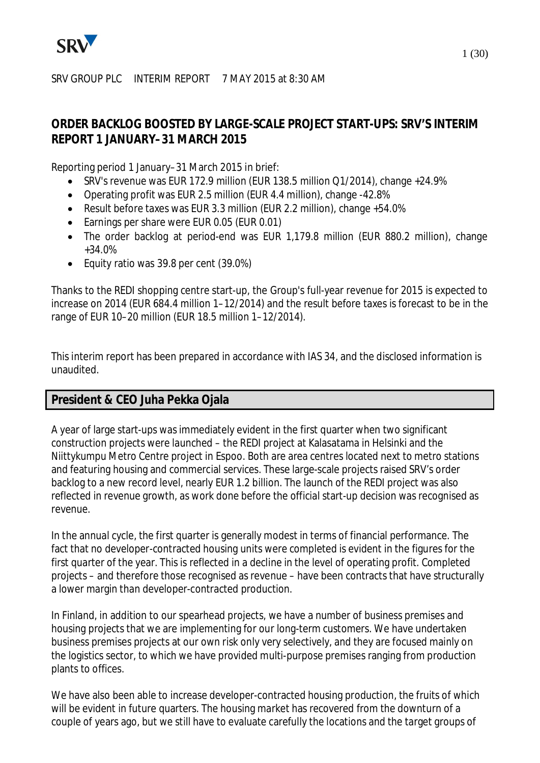

#### SRV GROUP PLC INTERIM REPORT 7 MAY 2015 at 8:30 AM

## **ORDER BACKLOG BOOSTED BY LARGE-SCALE PROJECT START-UPS: SRV'S INTERIM REPORT 1 JANUARY–31 MARCH 2015**

Reporting period 1 January–31 March 2015 in brief:

- · SRV's revenue was EUR 172.9 million (EUR 138.5 million Q1/2014), change +24.9%
- · Operating profit was EUR 2.5 million (EUR 4.4 million), change -42.8%
- · Result before taxes was EUR 3.3 million (EUR 2.2 million), change +54.0%
- · Earnings per share were EUR 0.05 (EUR 0.01)
- · The order backlog at period-end was EUR 1,179.8 million (EUR 880.2 million), change +34.0%
- · Equity ratio was 39.8 per cent (39.0%)

Thanks to the REDI shopping centre start-up, the Group's full-year revenue for 2015 is expected to increase on 2014 (EUR 684.4 million 1–12/2014) and the result before taxes is forecast to be in the range of EUR 10–20 million (EUR 18.5 million 1–12/2014).

This interim report has been prepared in accordance with IAS 34, and the disclosed information is unaudited.

## **President & CEO Juha Pekka Ojala**

A year of large start-ups was immediately evident in the first quarter when two significant construction projects were launched – the REDI project at Kalasatama in Helsinki and the Niittykumpu Metro Centre project in Espoo. Both are area centres located next to metro stations and featuring housing and commercial services. These large-scale projects raised SRV's order backlog to a new record level, nearly EUR 1.2 billion. The launch of the REDI project was also reflected in revenue growth, as work done before the official start-up decision was recognised as revenue.

In the annual cycle, the first quarter is generally modest in terms of financial performance. The fact that no developer-contracted housing units were completed is evident in the figures for the first quarter of the year. This is reflected in a decline in the level of operating profit. Completed projects – and therefore those recognised as revenue – have been contracts that have structurally a lower margin than developer-contracted production.

In Finland, in addition to our spearhead projects, we have a number of business premises and housing projects that we are implementing for our long-term customers. We have undertaken business premises projects at our own risk only very selectively, and they are focused mainly on the logistics sector, to which we have provided multi-purpose premises ranging from production plants to offices.

We have also been able to increase developer-contracted housing production, the fruits of which will be evident in future quarters. The housing market has recovered from the downturn of a couple of years ago, but we still have to evaluate carefully the locations and the target groups of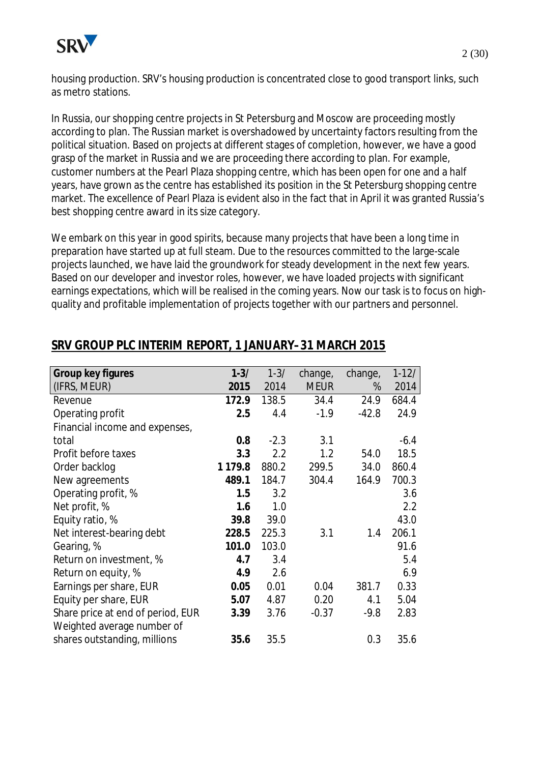

housing production. SRV's housing production is concentrated close to good transport links, such as metro stations.

In Russia, our shopping centre projects in St Petersburg and Moscow are proceeding mostly according to plan. The Russian market is overshadowed by uncertainty factors resulting from the political situation. Based on projects at different stages of completion, however, we have a good grasp of the market in Russia and we are proceeding there according to plan. For example, customer numbers at the Pearl Plaza shopping centre, which has been open for one and a half years, have grown as the centre has established its position in the St Petersburg shopping centre market. The excellence of Pearl Plaza is evident also in the fact that in April it was granted Russia's best shopping centre award in its size category.

We embark on this year in good spirits, because many projects that have been a long time in preparation have started up at full steam. Due to the resources committed to the large-scale projects launched, we have laid the groundwork for steady development in the next few years. Based on our developer and investor roles, however, we have loaded projects with significant earnings expectations, which will be realised in the coming years. Now our task is to focus on highquality and profitable implementation of projects together with our partners and personnel.

| Group key figures                 | $1 - 3/$    | $1 - 3/$ | change,     | change, | $1 - 12/$ |
|-----------------------------------|-------------|----------|-------------|---------|-----------|
| (IFRS, MEUR)                      | 2015        | 2014     | <b>MEUR</b> | %       | 2014      |
| Revenue                           | 172.9       | 138.5    | 34.4        | 24.9    | 684.4     |
| Operating profit                  | 2.5         | 4.4      | $-1.9$      | $-42.8$ | 24.9      |
| Financial income and expenses,    |             |          |             |         |           |
| total                             | 0.8         | $-2.3$   | 3.1         |         | $-6.4$    |
| Profit before taxes               | 3.3         | 2.2      | 1.2         | 54.0    | 18.5      |
| Order backlog                     | 1 1 7 9 . 8 | 880.2    | 299.5       | 34.0    | 860.4     |
| New agreements                    | 489.1       | 184.7    | 304.4       | 164.9   | 700.3     |
| Operating profit, %               | 1.5         | 3.2      |             |         | 3.6       |
| Net profit, %                     | 1.6         | 1.0      |             |         | 2.2       |
| Equity ratio, %                   | 39.8        | 39.0     |             |         | 43.0      |
| Net interest-bearing debt         | 228.5       | 225.3    | 3.1         | 1.4     | 206.1     |
| Gearing, %                        | 101.0       | 103.0    |             |         | 91.6      |
| Return on investment, %           | 4.7         | 3.4      |             |         | 5.4       |
| Return on equity, %               | 4.9         | 2.6      |             |         | 6.9       |
| Earnings per share, EUR           | 0.05        | 0.01     | 0.04        | 381.7   | 0.33      |
| Equity per share, EUR             | 5.07        | 4.87     | 0.20        | 4.1     | 5.04      |
| Share price at end of period, EUR | 3.39        | 3.76     | $-0.37$     | $-9.8$  | 2.83      |
| Weighted average number of        |             |          |             |         |           |
| shares outstanding, millions      | 35.6        | 35.5     |             | 0.3     | 35.6      |

# **SRV GROUP PLC INTERIM REPORT, 1 JANUARY–31 MARCH 2015**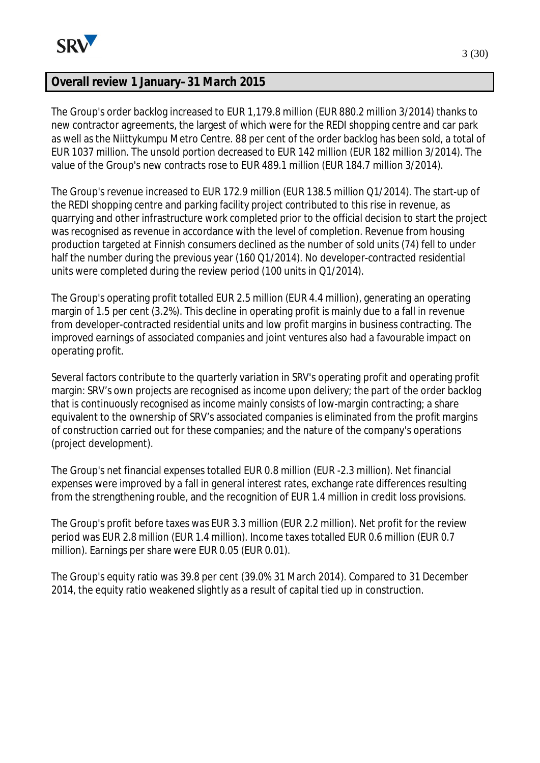

## **Overall review 1 January–31 March 2015**

The Group's order backlog increased to EUR 1,179.8 million (EUR 880.2 million 3/2014) thanks to new contractor agreements, the largest of which were for the REDI shopping centre and car park as well as the Niittykumpu Metro Centre. 88 per cent of the order backlog has been sold, a total of EUR 1037 million. The unsold portion decreased to EUR 142 million (EUR 182 million 3/2014). The value of the Group's new contracts rose to EUR 489.1 million (EUR 184.7 million 3/2014).

The Group's revenue increased to EUR 172.9 million (EUR 138.5 million Q1/2014). The start-up of the REDI shopping centre and parking facility project contributed to this rise in revenue, as quarrying and other infrastructure work completed prior to the official decision to start the project was recognised as revenue in accordance with the level of completion. Revenue from housing production targeted at Finnish consumers declined as the number of sold units (74) fell to under half the number during the previous year (160 Q1/2014). No developer-contracted residential units were completed during the review period (100 units in Q1/2014).

The Group's operating profit totalled EUR 2.5 million (EUR 4.4 million), generating an operating margin of 1.5 per cent (3.2%). This decline in operating profit is mainly due to a fall in revenue from developer-contracted residential units and low profit margins in business contracting. The improved earnings of associated companies and joint ventures also had a favourable impact on operating profit.

Several factors contribute to the quarterly variation in SRV's operating profit and operating profit margin: SRV's own projects are recognised as income upon delivery; the part of the order backlog that is continuously recognised as income mainly consists of low-margin contracting; a share equivalent to the ownership of SRV's associated companies is eliminated from the profit margins of construction carried out for these companies; and the nature of the company's operations (project development).

The Group's net financial expenses totalled EUR 0.8 million (EUR -2.3 million). Net financial expenses were improved by a fall in general interest rates, exchange rate differences resulting from the strengthening rouble, and the recognition of EUR 1.4 million in credit loss provisions.

The Group's profit before taxes was EUR 3.3 million (EUR 2.2 million). Net profit for the review period was EUR 2.8 million (EUR 1.4 million). Income taxes totalled EUR 0.6 million (EUR 0.7 million). Earnings per share were EUR 0.05 (EUR 0.01).

The Group's equity ratio was 39.8 per cent (39.0% 31 March 2014). Compared to 31 December 2014, the equity ratio weakened slightly as a result of capital tied up in construction.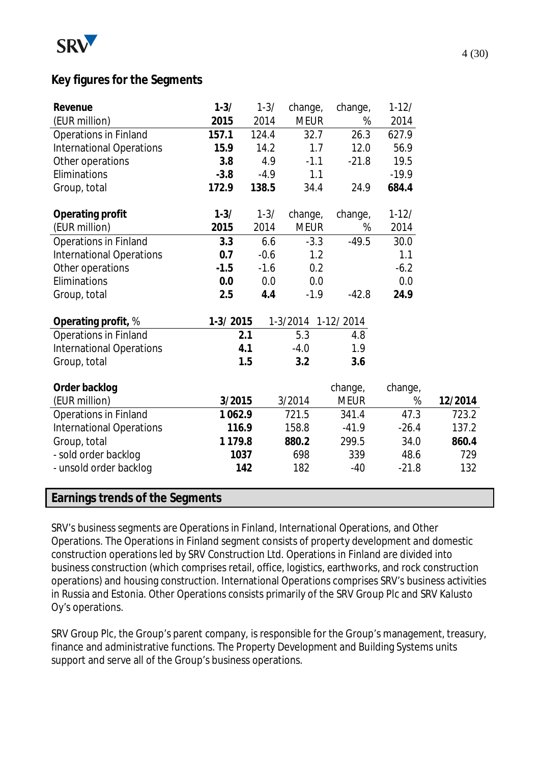

## **Key figures for the Segments**

| Revenue                         | $1 - 3/$    | $1 - 3/$ | change,     | change,     | $1-12/$ |         |
|---------------------------------|-------------|----------|-------------|-------------|---------|---------|
| (EUR million)                   | 2015        | 2014     | <b>MEUR</b> | %           | 2014    |         |
| Operations in Finland           | 157.1       | 124.4    | 32.7        | 26.3        | 627.9   |         |
| <b>International Operations</b> | 15.9        | 14.2     | 1.7         | 12.0        | 56.9    |         |
| Other operations                | 3.8         | 4.9      | $-1.1$      | $-21.8$     | 19.5    |         |
| Eliminations                    | $-3.8$      | $-4.9$   | 1.1         |             | $-19.9$ |         |
| Group, total                    | 172.9       | 138.5    | 34.4        | 24.9        | 684.4   |         |
| Operating profit                | $1 - 3/$    | $1 - 3/$ | change,     | change,     | $1-12/$ |         |
| (EUR million)                   | 2015        | 2014     | <b>MEUR</b> | %           | 2014    |         |
| Operations in Finland           | 3.3         | 6.6      | $-3.3$      | $-49.5$     | 30.0    |         |
| <b>International Operations</b> | 0.7         | $-0.6$   | 1.2         |             | 1.1     |         |
| Other operations                | $-1.5$      | $-1.6$   | 0.2         |             | $-6.2$  |         |
| Eliminations                    | 0.0         | 0.0      | 0.0         |             | 0.0     |         |
| Group, total                    | 2.5         | 4.4      | $-1.9$      | $-42.8$     | 24.9    |         |
| Operating profit, %             | $1-3/2015$  |          | 1-3/2014    | 1-12/2014   |         |         |
| Operations in Finland           |             | 2.1      | 5.3         | 4.8         |         |         |
| <b>International Operations</b> |             | 4.1      | $-4.0$      | 1.9         |         |         |
| Group, total                    |             | 1.5      | 3.2         | 3.6         |         |         |
| Order backlog                   |             |          |             | change,     | change, |         |
| (EUR million)                   | 3/2015      |          | 3/2014      | <b>MEUR</b> | %       | 12/2014 |
| Operations in Finland           | 1062.9      |          | 721.5       | 341.4       | 47.3    | 723.2   |
| <b>International Operations</b> | 116.9       |          | 158.8       | $-41.9$     | $-26.4$ | 137.2   |
| Group, total                    | 1 1 7 9 . 8 |          | 880.2       | 299.5       | 34.0    | 860.4   |
|                                 |             |          | 698         | 339         | 48.6    | 729     |
| - sold order backlog            | 1037        |          |             |             |         |         |
| - unsold order backlog          |             | 142      | 182         | $-40$       | $-21.8$ | 132     |

SRV's business segments are Operations in Finland, International Operations, and Other Operations. The Operations in Finland segment consists of property development and domestic construction operations led by SRV Construction Ltd. Operations in Finland are divided into business construction (which comprises retail, office, logistics, earthworks, and rock construction operations) and housing construction. International Operations comprises SRV's business activities in Russia and Estonia. Other Operations consists primarily of the SRV Group Plc and SRV Kalusto Oy's operations.

SRV Group Plc, the Group's parent company, is responsible for the Group's management, treasury, finance and administrative functions. The Property Development and Building Systems units support and serve all of the Group's business operations.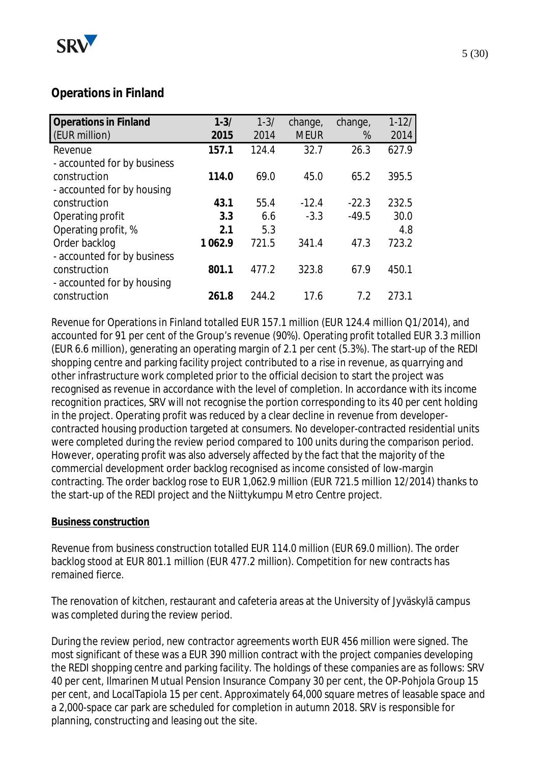

# **Operations in Finland**

| <b>Operations in Finland</b> | $1 - 3/$ | $1 - 3/$ | change,     | change, | $1 - 12/$ |
|------------------------------|----------|----------|-------------|---------|-----------|
| (EUR million)                | 2015     | 2014     | <b>MEUR</b> | %       | 2014      |
| Revenue                      | 157.1    | 124.4    | 32.7        | 26.3    | 627.9     |
| - accounted for by business  |          |          |             |         |           |
| construction                 | 114.0    | 69.0     | 45.0        | 65.2    | 395.5     |
| - accounted for by housing   |          |          |             |         |           |
| construction                 | 43.1     | 55.4     | $-12.4$     | $-22.3$ | 232.5     |
| Operating profit             | 3.3      | 6.6      | $-3.3$      | $-49.5$ | 30.0      |
| Operating profit, %          | 2.1      | 5.3      |             |         | 4.8       |
| Order backlog                | 1062.9   | 721.5    | 341.4       | 47.3    | 723.2     |
| - accounted for by business  |          |          |             |         |           |
| construction                 | 801.1    | 477.2    | 323.8       | 67.9    | 450.1     |
| - accounted for by housing   |          |          |             |         |           |
| construction                 | 261.8    | 244.2    | 17.6        | 7.2     | 273.1     |

Revenue for Operations in Finland totalled EUR 157.1 million (EUR 124.4 million Q1/2014), and accounted for 91 per cent of the Group's revenue (90%). Operating profit totalled EUR 3.3 million (EUR 6.6 million), generating an operating margin of 2.1 per cent (5.3%). The start-up of the REDI shopping centre and parking facility project contributed to a rise in revenue, as quarrying and other infrastructure work completed prior to the official decision to start the project was recognised as revenue in accordance with the level of completion. In accordance with its income recognition practices, SRV will not recognise the portion corresponding to its 40 per cent holding in the project. Operating profit was reduced by a clear decline in revenue from developercontracted housing production targeted at consumers. No developer-contracted residential units were completed during the review period compared to 100 units during the comparison period. However, operating profit was also adversely affected by the fact that the majority of the commercial development order backlog recognised as income consisted of low-margin contracting. The order backlog rose to EUR 1,062.9 million (EUR 721.5 million 12/2014) thanks to the start-up of the REDI project and the Niittykumpu Metro Centre project.

## **Business construction**

Revenue from business construction totalled EUR 114.0 million (EUR 69.0 million). The order backlog stood at EUR 801.1 million (EUR 477.2 million). Competition for new contracts has remained fierce.

The renovation of kitchen, restaurant and cafeteria areas at the University of Jyväskylä campus was completed during the review period.

During the review period, new contractor agreements worth EUR 456 million were signed. The most significant of these was a EUR 390 million contract with the project companies developing the REDI shopping centre and parking facility. The holdings of these companies are as follows: SRV 40 per cent, Ilmarinen Mutual Pension Insurance Company 30 per cent, the OP-Pohjola Group 15 per cent, and LocalTapiola 15 per cent. Approximately 64,000 square metres of leasable space and a 2,000-space car park are scheduled for completion in autumn 2018. SRV is responsible for planning, constructing and leasing out the site.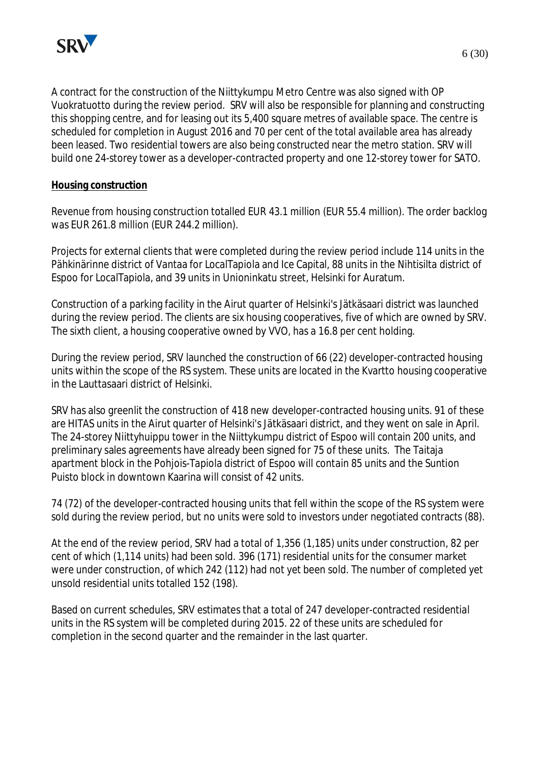

A contract for the construction of the Niittykumpu Metro Centre was also signed with OP Vuokratuotto during the review period. SRV will also be responsible for planning and constructing this shopping centre, and for leasing out its 5,400 square metres of available space. The centre is scheduled for completion in August 2016 and 70 per cent of the total available area has already been leased. Two residential towers are also being constructed near the metro station. SRV will build one 24-storey tower as a developer-contracted property and one 12-storey tower for SATO.

#### **Housing construction**

Revenue from housing construction totalled EUR 43.1 million (EUR 55.4 million). The order backlog was EUR 261.8 million (EUR 244.2 million).

Projects for external clients that were completed during the review period include 114 units in the Pähkinärinne district of Vantaa for LocalTapiola and Ice Capital, 88 units in the Nihtisilta district of Espoo for LocalTapiola, and 39 units in Unioninkatu street, Helsinki for Auratum.

Construction of a parking facility in the Airut quarter of Helsinki's Jätkäsaari district was launched during the review period. The clients are six housing cooperatives, five of which are owned by SRV. The sixth client, a housing cooperative owned by VVO, has a 16.8 per cent holding.

During the review period, SRV launched the construction of 66 (22) developer-contracted housing units within the scope of the RS system. These units are located in the Kvartto housing cooperative in the Lauttasaari district of Helsinki.

SRV has also greenlit the construction of 418 new developer-contracted housing units. 91 of these are HITAS units in the Airut quarter of Helsinki's Jätkäsaari district, and they went on sale in April. The 24-storey Niittyhuippu tower in the Niittykumpu district of Espoo will contain 200 units, and preliminary sales agreements have already been signed for 75 of these units. The Taitaja apartment block in the Pohjois-Tapiola district of Espoo will contain 85 units and the Suntion Puisto block in downtown Kaarina will consist of 42 units.

74 (72) of the developer-contracted housing units that fell within the scope of the RS system were sold during the review period, but no units were sold to investors under negotiated contracts (88).

At the end of the review period, SRV had a total of 1,356 (1,185) units under construction, 82 per cent of which (1,114 units) had been sold. 396 (171) residential units for the consumer market were under construction, of which 242 (112) had not yet been sold. The number of completed yet unsold residential units totalled 152 (198).

Based on current schedules, SRV estimates that a total of 247 developer-contracted residential units in the RS system will be completed during 2015. 22 of these units are scheduled for completion in the second quarter and the remainder in the last quarter.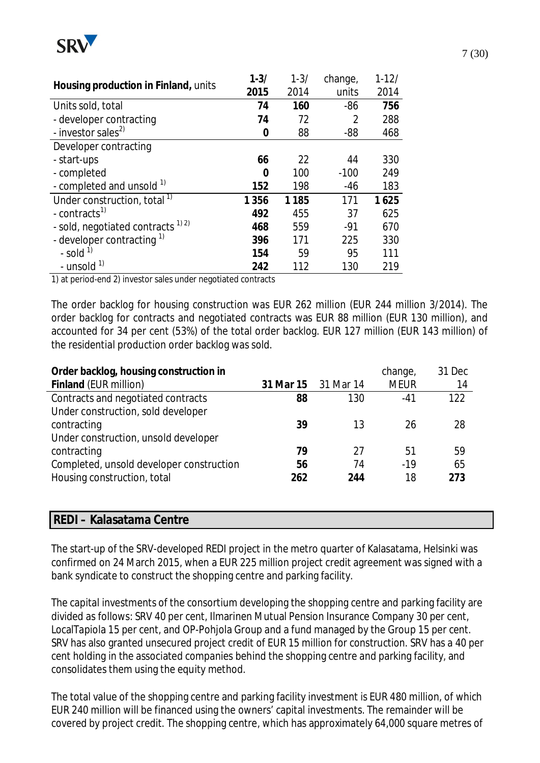

|                                               | $1 - 3/$ | $1 - 3/$ | change, | $1 - 12/$ |
|-----------------------------------------------|----------|----------|---------|-----------|
| Housing production in Finland, units          | 2015     | 2014     | units   | 2014      |
| Units sold, total                             | 74       | 160      | $-86$   | 756       |
| - developer contracting                       | 74       | 72       | 2       | 288       |
| - investor sales <sup>2)</sup>                | 0        | 88       | $-88$   | 468       |
| Developer contracting                         |          |          |         |           |
| - start-ups                                   | 66       | 22       | 44      | 330       |
| - completed                                   | 0        | 100      | $-100$  | 249       |
| - completed and unsold 1)                     | 152      | 198      | $-46$   | 183       |
| Under construction, total <sup>1)</sup>       | 1 3 5 6  | 1 1 8 5  | 171     | 1625      |
| - contracts <sup>1)</sup>                     | 492      | 455      | 37      | 625       |
| - sold, negotiated contracts <sup>1) 2)</sup> | 468      | 559      | $-91$   | 670       |
| - developer contracting $1$                   | 396      | 171      | 225     | 330       |
| - sold $^{1}$                                 | 154      | 59       | 95      | 111       |
| - unsold $1$                                  | 242      | 112      | 130     | 219       |

1) at period-end 2) investor sales under negotiated contracts

The order backlog for housing construction was EUR 262 million (EUR 244 million 3/2014). The order backlog for contracts and negotiated contracts was EUR 88 million (EUR 130 million), and accounted for 34 per cent (53%) of the total order backlog. EUR 127 million (EUR 143 million) of the residential production order backlog was sold.

| Order backlog, housing construction in   |     |                     | change,     | 31 Dec |
|------------------------------------------|-----|---------------------|-------------|--------|
| Finland (EUR million)                    |     | 31 Mar 15 31 Mar 14 | <b>MEUR</b> | 14     |
| Contracts and negotiated contracts       | 88  | 130                 | $-41$       | 122    |
| Under construction, sold developer       |     |                     |             |        |
| contracting                              | 39  | 13                  | 26          | 28     |
| Under construction, unsold developer     |     |                     |             |        |
| contracting                              | 79  | 27                  | 51          | 59     |
| Completed, unsold developer construction | 56  | 74                  | $-19$       | 65     |
| Housing construction, total              | 262 | 244                 | 18          | 273    |
|                                          |     |                     |             |        |

#### **REDI – Kalasatama Centre**

The start-up of the SRV-developed REDI project in the metro quarter of Kalasatama, Helsinki was confirmed on 24 March 2015, when a EUR 225 million project credit agreement was signed with a bank syndicate to construct the shopping centre and parking facility.

The capital investments of the consortium developing the shopping centre and parking facility are divided as follows: SRV 40 per cent, Ilmarinen Mutual Pension Insurance Company 30 per cent, LocalTapiola 15 per cent, and OP-Pohjola Group and a fund managed by the Group 15 per cent. SRV has also granted unsecured project credit of EUR 15 million for construction. SRV has a 40 per cent holding in the associated companies behind the shopping centre and parking facility, and consolidates them using the equity method.

The total value of the shopping centre and parking facility investment is EUR 480 million, of which EUR 240 million will be financed using the owners' capital investments. The remainder will be covered by project credit. The shopping centre, which has approximately 64,000 square metres of

7 (30)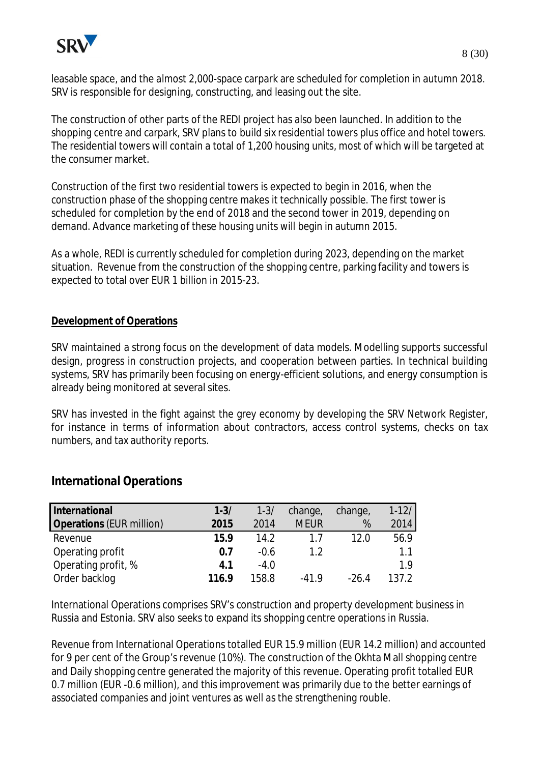

The construction of other parts of the REDI project has also been launched. In addition to the shopping centre and carpark, SRV plans to build six residential towers plus office and hotel towers. The residential towers will contain a total of 1,200 housing units, most of which will be targeted at the consumer market.

Construction of the first two residential towers is expected to begin in 2016, when the construction phase of the shopping centre makes it technically possible. The first tower is scheduled for completion by the end of 2018 and the second tower in 2019, depending on demand. Advance marketing of these housing units will begin in autumn 2015.

As a whole, REDI is currently scheduled for completion during 2023, depending on the market situation. Revenue from the construction of the shopping centre, parking facility and towers is expected to total over EUR 1 billion in 2015-23.

## **Development of Operations**

SRV maintained a strong focus on the development of data models. Modelling supports successful design, progress in construction projects, and cooperation between parties. In technical building systems, SRV has primarily been focusing on energy-efficient solutions, and energy consumption is already being monitored at several sites.

SRV has invested in the fight against the grey economy by developing the SRV Network Register, for instance in terms of information about contractors, access control systems, checks on tax numbers, and tax authority reports.

| International                   | $1 - 3/$ | $1 - 3/$ | change,     | change, | $1 - 12/$ |
|---------------------------------|----------|----------|-------------|---------|-----------|
| <b>Operations (EUR million)</b> | 2015     | 2014     | <b>MEUR</b> | %       | 2014      |
| Revenue                         | 15.9     | 14.2     | 17          | 12.0    | 56.9      |
| Operating profit                | 0.7      | $-0.6$   | 12          |         | 1.1       |
| Operating profit, %             | 4.1      | $-4.0$   |             |         | 1.9       |
| Order backlog                   | 116.9    | 158.8    | -419        | -264    | 137.2     |

## **International Operations**

International Operations comprises SRV's construction and property development business in Russia and Estonia. SRV also seeks to expand its shopping centre operations in Russia.

Revenue from International Operations totalled EUR 15.9 million (EUR 14.2 million) and accounted for 9 per cent of the Group's revenue (10%). The construction of the Okhta Mall shopping centre and Daily shopping centre generated the majority of this revenue. Operating profit totalled EUR 0.7 million (EUR -0.6 million), and this improvement was primarily due to the better earnings of associated companies and joint ventures as well as the strengthening rouble.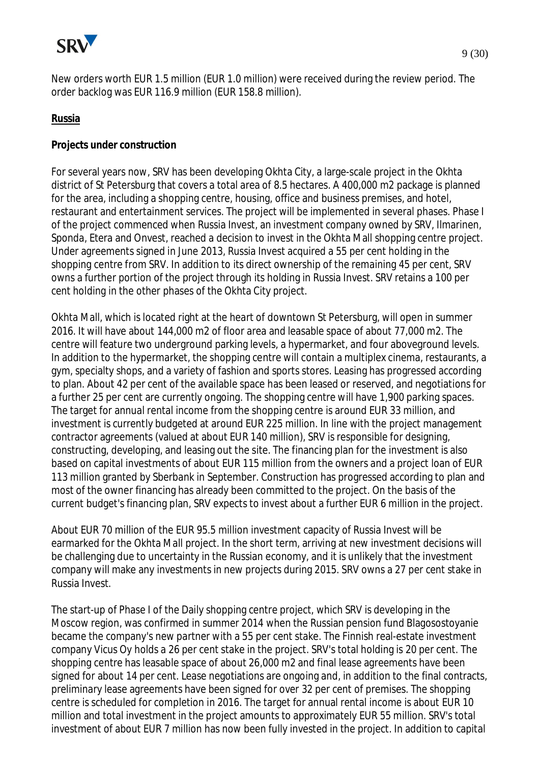

#### **Russia**

**Projects under construction**

For several years now, SRV has been developing Okhta City, a large-scale project in the Okhta district of St Petersburg that covers a total area of 8.5 hectares. A 400,000 m2 package is planned for the area, including a shopping centre, housing, office and business premises, and hotel, restaurant and entertainment services. The project will be implemented in several phases. Phase I of the project commenced when Russia Invest, an investment company owned by SRV, Ilmarinen, Sponda, Etera and Onvest, reached a decision to invest in the Okhta Mall shopping centre project. Under agreements signed in June 2013, Russia Invest acquired a 55 per cent holding in the shopping centre from SRV. In addition to its direct ownership of the remaining 45 per cent, SRV owns a further portion of the project through its holding in Russia Invest. SRV retains a 100 per cent holding in the other phases of the Okhta City project.

Okhta Mall, which is located right at the heart of downtown St Petersburg, will open in summer 2016. It will have about 144,000 m2 of floor area and leasable space of about 77,000 m2. The centre will feature two underground parking levels, a hypermarket, and four aboveground levels. In addition to the hypermarket, the shopping centre will contain a multiplex cinema, restaurants, a gym, specialty shops, and a variety of fashion and sports stores. Leasing has progressed according to plan. About 42 per cent of the available space has been leased or reserved, and negotiations for a further 25 per cent are currently ongoing. The shopping centre will have 1,900 parking spaces. The target for annual rental income from the shopping centre is around EUR 33 million, and investment is currently budgeted at around EUR 225 million. In line with the project management contractor agreements (valued at about EUR 140 million), SRV is responsible for designing, constructing, developing, and leasing out the site. The financing plan for the investment is also based on capital investments of about EUR 115 million from the owners and a project loan of EUR 113 million granted by Sberbank in September. Construction has progressed according to plan and most of the owner financing has already been committed to the project. On the basis of the current budget's financing plan, SRV expects to invest about a further EUR 6 million in the project.

About EUR 70 million of the EUR 95.5 million investment capacity of Russia Invest will be earmarked for the Okhta Mall project. In the short term, arriving at new investment decisions will be challenging due to uncertainty in the Russian economy, and it is unlikely that the investment company will make any investments in new projects during 2015. SRV owns a 27 per cent stake in Russia Invest.

The start-up of Phase I of the Daily shopping centre project, which SRV is developing in the Moscow region, was confirmed in summer 2014 when the Russian pension fund Blagosostoyanie became the company's new partner with a 55 per cent stake. The Finnish real-estate investment company Vicus Oy holds a 26 per cent stake in the project. SRV's total holding is 20 per cent. The shopping centre has leasable space of about 26,000 m2 and final lease agreements have been signed for about 14 per cent. Lease negotiations are ongoing and, in addition to the final contracts, preliminary lease agreements have been signed for over 32 per cent of premises. The shopping centre is scheduled for completion in 2016. The target for annual rental income is about EUR 10 million and total investment in the project amounts to approximately EUR 55 million. SRV's total investment of about EUR 7 million has now been fully invested in the project. In addition to capital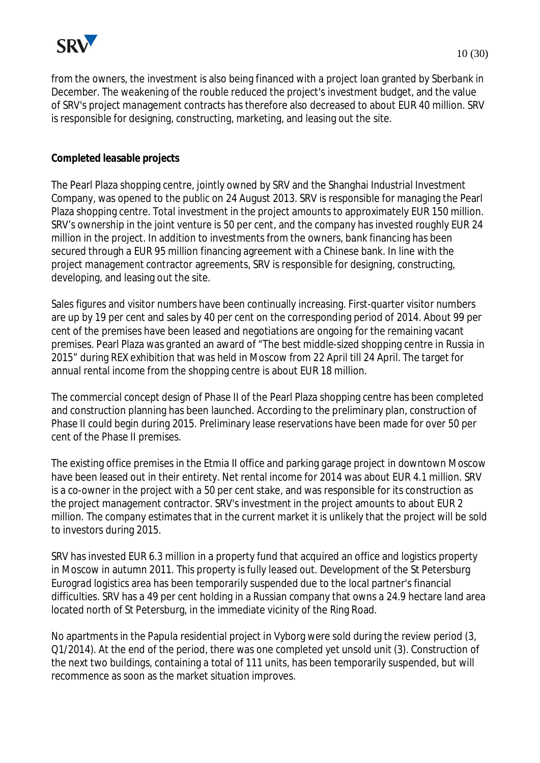

from the owners, the investment is also being financed with a project loan granted by Sberbank in December. The weakening of the rouble reduced the project's investment budget, and the value of SRV's project management contracts has therefore also decreased to about EUR 40 million. SRV is responsible for designing, constructing, marketing, and leasing out the site.

**Completed leasable projects**

The Pearl Plaza shopping centre, jointly owned by SRV and the Shanghai Industrial Investment Company, was opened to the public on 24 August 2013. SRV is responsible for managing the Pearl Plaza shopping centre. Total investment in the project amounts to approximately EUR 150 million. SRV's ownership in the joint venture is 50 per cent, and the company has invested roughly EUR 24 million in the project. In addition to investments from the owners, bank financing has been secured through a EUR 95 million financing agreement with a Chinese bank. In line with the project management contractor agreements, SRV is responsible for designing, constructing, developing, and leasing out the site.

Sales figures and visitor numbers have been continually increasing. First-quarter visitor numbers are up by 19 per cent and sales by 40 per cent on the corresponding period of 2014. About 99 per cent of the premises have been leased and negotiations are ongoing for the remaining vacant premises. Pearl Plaza was granted an award of "The best middle-sized shopping centre in Russia in 2015" during REX exhibition that was held in Moscow from 22 April till 24 April. The target for annual rental income from the shopping centre is about EUR 18 million.

The commercial concept design of Phase II of the Pearl Plaza shopping centre has been completed and construction planning has been launched. According to the preliminary plan, construction of Phase II could begin during 2015. Preliminary lease reservations have been made for over 50 per cent of the Phase II premises.

The existing office premises in the Etmia II office and parking garage project in downtown Moscow have been leased out in their entirety. Net rental income for 2014 was about EUR 4.1 million. SRV is a co-owner in the project with a 50 per cent stake, and was responsible for its construction as the project management contractor. SRV's investment in the project amounts to about EUR 2 million. The company estimates that in the current market it is unlikely that the project will be sold to investors during 2015.

SRV has invested EUR 6.3 million in a property fund that acquired an office and logistics property in Moscow in autumn 2011. This property is fully leased out. Development of the St Petersburg Eurograd logistics area has been temporarily suspended due to the local partner's financial difficulties. SRV has a 49 per cent holding in a Russian company that owns a 24.9 hectare land area located north of St Petersburg, in the immediate vicinity of the Ring Road.

No apartments in the Papula residential project in Vyborg were sold during the review period (3, Q1/2014). At the end of the period, there was one completed yet unsold unit (3). Construction of the next two buildings, containing a total of 111 units, has been temporarily suspended, but will recommence as soon as the market situation improves.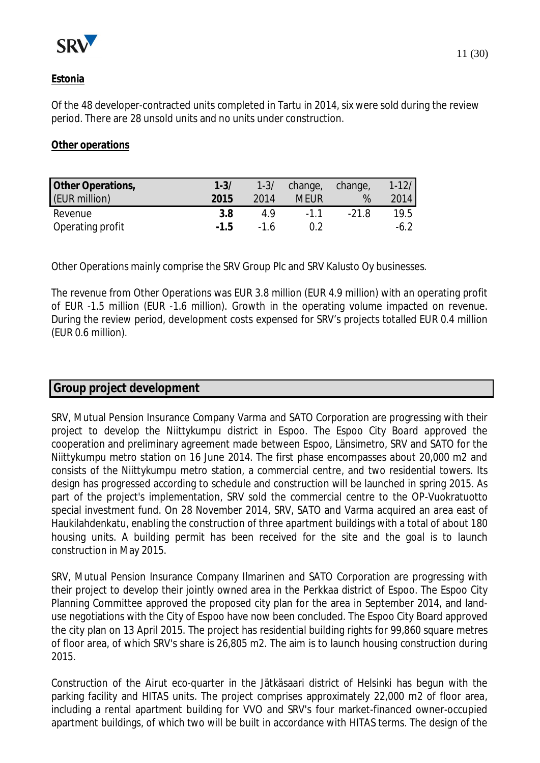

## **Estonia**

Of the 48 developer-contracted units completed in Tartu in 2014, six were sold during the review period. There are 28 unsold units and no units under construction.

**Other operations**

| Other Operations, | $1 - 3/$ |       | 1-3/ change, change, |       | $1 - 12/$ |
|-------------------|----------|-------|----------------------|-------|-----------|
| (EUR million)     | 2015     | 2014  | Meur                 | %     | 2014      |
| Revenue           | 3.8      | 49    | $-11$                | -21.8 | 19.5      |
| Operating profit  | $-1.5$   | $-16$ |                      |       | $-6.2$    |

Other Operations mainly comprise the SRV Group Plc and SRV Kalusto Oy businesses.

The revenue from Other Operations was EUR 3.8 million (EUR 4.9 million) with an operating profit of EUR -1.5 million (EUR -1.6 million). Growth in the operating volume impacted on revenue. During the review period, development costs expensed for SRV's projects totalled EUR 0.4 million (EUR 0.6 million).

#### **Group project development**

SRV, Mutual Pension Insurance Company Varma and SATO Corporation are progressing with their project to develop the Niittykumpu district in Espoo. The Espoo City Board approved the cooperation and preliminary agreement made between Espoo, Länsimetro, SRV and SATO for the Niittykumpu metro station on 16 June 2014. The first phase encompasses about 20,000 m2 and consists of the Niittykumpu metro station, a commercial centre, and two residential towers. Its design has progressed according to schedule and construction will be launched in spring 2015. As part of the project's implementation, SRV sold the commercial centre to the OP-Vuokratuotto special investment fund. On 28 November 2014, SRV, SATO and Varma acquired an area east of Haukilahdenkatu, enabling the construction of three apartment buildings with a total of about 180 housing units. A building permit has been received for the site and the goal is to launch construction in May 2015.

SRV, Mutual Pension Insurance Company Ilmarinen and SATO Corporation are progressing with their project to develop their jointly owned area in the Perkkaa district of Espoo. The Espoo City Planning Committee approved the proposed city plan for the area in September 2014, and landuse negotiations with the City of Espoo have now been concluded. The Espoo City Board approved the city plan on 13 April 2015. The project has residential building rights for 99,860 square metres of floor area, of which SRV's share is 26,805 m2. The aim is to launch housing construction during 2015.

Construction of the Airut eco-quarter in the Jätkäsaari district of Helsinki has begun with the parking facility and HITAS units. The project comprises approximately 22,000 m2 of floor area, including a rental apartment building for VVO and SRV's four market-financed owner-occupied apartment buildings, of which two will be built in accordance with HITAS terms. The design of the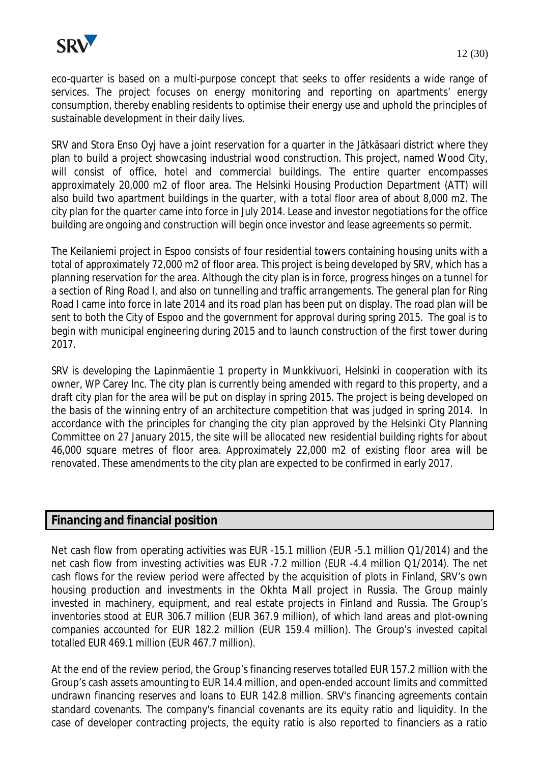

eco-quarter is based on a multi-purpose concept that seeks to offer residents a wide range of services. The project focuses on energy monitoring and reporting on apartments' energy consumption, thereby enabling residents to optimise their energy use and uphold the principles of sustainable development in their daily lives.

SRV and Stora Enso Oyj have a joint reservation for a quarter in the Jätkäsaari district where they plan to build a project showcasing industrial wood construction. This project, named Wood City, will consist of office, hotel and commercial buildings. The entire quarter encompasses approximately 20,000 m2 of floor area. The Helsinki Housing Production Department (ATT) will also build two apartment buildings in the quarter, with a total floor area of about 8,000 m2. The city plan for the quarter came into force in July 2014. Lease and investor negotiations for the office building are ongoing and construction will begin once investor and lease agreements so permit.

The Keilaniemi project in Espoo consists of four residential towers containing housing units with a total of approximately 72,000 m2 of floor area. This project is being developed by SRV, which has a planning reservation for the area. Although the city plan is in force, progress hinges on a tunnel for a section of Ring Road I, and also on tunnelling and traffic arrangements. The general plan for Ring Road I came into force in late 2014 and its road plan has been put on display. The road plan will be sent to both the City of Espoo and the government for approval during spring 2015. The goal is to begin with municipal engineering during 2015 and to launch construction of the first tower during 2017.

SRV is developing the Lapinmäentie 1 property in Munkkivuori, Helsinki in cooperation with its owner, WP Carey Inc. The city plan is currently being amended with regard to this property, and a draft city plan for the area will be put on display in spring 2015. The project is being developed on the basis of the winning entry of an architecture competition that was judged in spring 2014. In accordance with the principles for changing the city plan approved by the Helsinki City Planning Committee on 27 January 2015, the site will be allocated new residential building rights for about 46,000 square metres of floor area. Approximately 22,000 m2 of existing floor area will be renovated. These amendments to the city plan are expected to be confirmed in early 2017.

## **Financing and financial position**

Net cash flow from operating activities was EUR -15.1 million (EUR -5.1 million Q1/2014) and the net cash flow from investing activities was EUR -7.2 million (EUR -4.4 million Q1/2014). The net cash flows for the review period were affected by the acquisition of plots in Finland, SRV's own housing production and investments in the Okhta Mall project in Russia. The Group mainly invested in machinery, equipment, and real estate projects in Finland and Russia. The Group's inventories stood at EUR 306.7 million (EUR 367.9 million), of which land areas and plot-owning companies accounted for EUR 182.2 million (EUR 159.4 million). The Group's invested capital totalled EUR 469.1 million (EUR 467.7 million).

At the end of the review period, the Group's financing reserves totalled EUR 157.2 million with the Group's cash assets amounting to EUR 14.4 million, and open-ended account limits and committed undrawn financing reserves and loans to EUR 142.8 million. SRV's financing agreements contain standard covenants. The company's financial covenants are its equity ratio and liquidity. In the case of developer contracting projects, the equity ratio is also reported to financiers as a ratio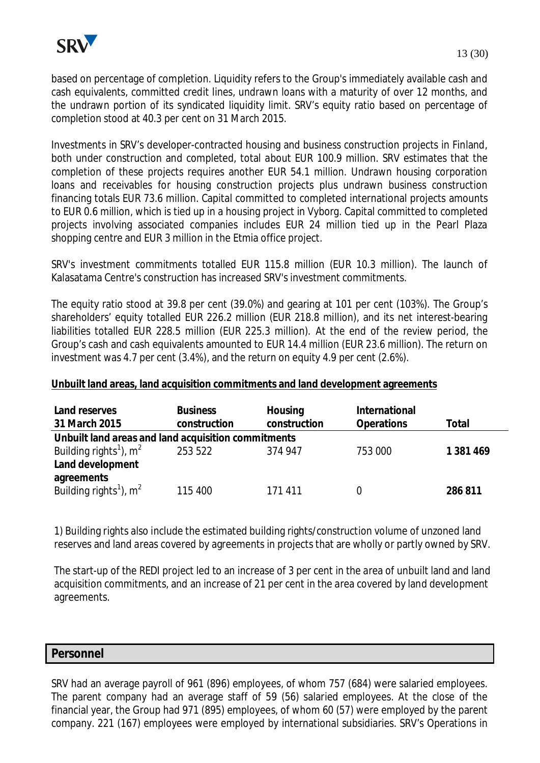

based on percentage of completion. Liquidity refers to the Group's immediately available cash and cash equivalents, committed credit lines, undrawn loans with a maturity of over 12 months, and the undrawn portion of its syndicated liquidity limit. SRV's equity ratio based on percentage of completion stood at 40.3 per cent on 31 March 2015.

Investments in SRV's developer-contracted housing and business construction projects in Finland, both under construction and completed, total about EUR 100.9 million. SRV estimates that the completion of these projects requires another EUR 54.1 million. Undrawn housing corporation loans and receivables for housing construction projects plus undrawn business construction financing totals EUR 73.6 million. Capital committed to completed international projects amounts to EUR 0.6 million, which is tied up in a housing project in Vyborg. Capital committed to completed projects involving associated companies includes EUR 24 million tied up in the Pearl Plaza shopping centre and EUR 3 million in the Etmia office project.

SRV's investment commitments totalled EUR 115.8 million (EUR 10.3 million). The launch of Kalasatama Centre's construction has increased SRV's investment commitments.

The equity ratio stood at 39.8 per cent (39.0%) and gearing at 101 per cent (103%). The Group's shareholders' equity totalled EUR 226.2 million (EUR 218.8 million), and its net interest-bearing liabilities totalled EUR 228.5 million (EUR 225.3 million). At the end of the review period, the Group's cash and cash equivalents amounted to EUR 14.4 million (EUR 23.6 million). The return on investment was 4.7 per cent (3.4%), and the return on equity 4.9 per cent (2.6%).

**Unbuilt land areas, land acquisition commitments and land development agreements**

| Land reserves<br>31 March 2015                      | <b>Business</b><br>construction | Housing<br>construction | International<br><b>Operations</b> | Total     |
|-----------------------------------------------------|---------------------------------|-------------------------|------------------------------------|-----------|
| Unbuilt land areas and land acquisition commitments |                                 |                         |                                    |           |
| Building rights <sup>1</sup> ), $m^2$               | 253 522                         | 374 947                 | 753 000                            | 1 381 469 |
| Land development                                    |                                 |                         |                                    |           |
| agreements                                          |                                 |                         |                                    |           |
| Building rights <sup>1</sup> ), $m^2$               | 115 400                         | 171 411                 |                                    | 286 811   |

1) Building rights also include the estimated building rights/construction volume of unzoned land reserves and land areas covered by agreements in projects that are wholly or partly owned by SRV.

The start-up of the REDI project led to an increase of 3 per cent in the area of unbuilt land and land acquisition commitments, and an increase of 21 per cent in the area covered by land development agreements.

**Personnel**

SRV had an average payroll of 961 (896) employees, of whom 757 (684) were salaried employees. The parent company had an average staff of 59 (56) salaried employees. At the close of the financial year, the Group had 971 (895) employees, of whom 60 (57) were employed by the parent company. 221 (167) employees were employed by international subsidiaries. SRV's Operations in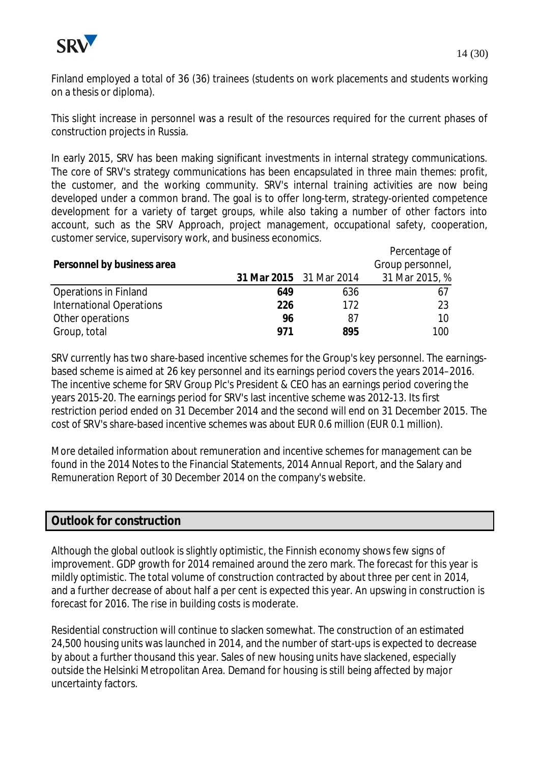

This slight increase in personnel was a result of the resources required for the current phases of construction projects in Russia.

In early 2015, SRV has been making significant investments in internal strategy communications. The core of SRV's strategy communications has been encapsulated in three main themes: profit, the customer, and the working community. SRV's internal training activities are now being developed under a common brand. The goal is to offer long-term, strategy-oriented competence development for a variety of target groups, while also taking a number of other factors into account, such as the SRV Approach, project management, occupational safety, cooperation, customer service, supervisory work, and business economics.

|                              |     |                         | Percentage of    |
|------------------------------|-----|-------------------------|------------------|
| Personnel by business area   |     |                         | Group personnel, |
|                              |     | 31 Mar 2015 31 Mar 2014 | 31 Mar 2015, %   |
| <b>Operations in Finland</b> | 649 | 636                     | 61               |
| International Operations     | 226 | 172                     | 23               |
| Other operations             | 96  | 87                      | 10               |
| Group, total                 | 971 | 895                     | 100              |

SRV currently has two share-based incentive schemes for the Group's key personnel. The earningsbased scheme is aimed at 26 key personnel and its earnings period covers the years 2014–2016. The incentive scheme for SRV Group Plc's President & CEO has an earnings period covering the years 2015-20. The earnings period for SRV's last incentive scheme was 2012-13. Its first restriction period ended on 31 December 2014 and the second will end on 31 December 2015. The cost of SRV's share-based incentive schemes was about EUR 0.6 million (EUR 0.1 million).

More detailed information about remuneration and incentive schemes for management can be found in the 2014 Notes to the Financial Statements, 2014 Annual Report, and the Salary and Remuneration Report of 30 December 2014 on the company's website.

## **Outlook for construction**

Although the global outlook is slightly optimistic, the Finnish economy shows few signs of improvement. GDP growth for 2014 remained around the zero mark. The forecast for this year is mildly optimistic. The total volume of construction contracted by about three per cent in 2014, and a further decrease of about half a per cent is expected this year. An upswing in construction is forecast for 2016. The rise in building costs is moderate.

Residential construction will continue to slacken somewhat. The construction of an estimated 24,500 housing units was launched in 2014, and the number of start-ups is expected to decrease by about a further thousand this year. Sales of new housing units have slackened, especially outside the Helsinki Metropolitan Area. Demand for housing is still being affected by major uncertainty factors.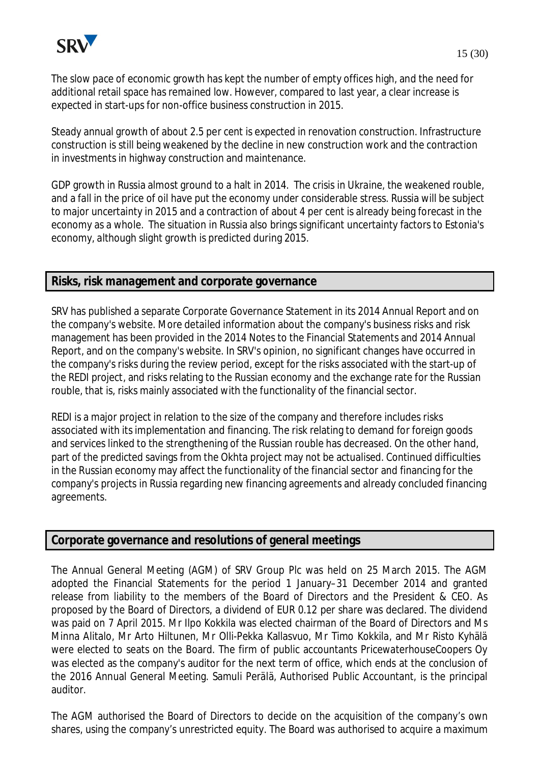

The slow pace of economic growth has kept the number of empty offices high, and the need for additional retail space has remained low. However, compared to last year, a clear increase is expected in start-ups for non-office business construction in 2015.

Steady annual growth of about 2.5 per cent is expected in renovation construction. Infrastructure construction is still being weakened by the decline in new construction work and the contraction in investments in highway construction and maintenance.

GDP growth in Russia almost ground to a halt in 2014. The crisis in Ukraine, the weakened rouble, and a fall in the price of oil have put the economy under considerable stress. Russia will be subject to major uncertainty in 2015 and a contraction of about 4 per cent is already being forecast in the economy as a whole. The situation in Russia also brings significant uncertainty factors to Estonia's economy, although slight growth is predicted during 2015.

## **Risks, risk management and corporate governance**

SRV has published a separate Corporate Governance Statement in its 2014 Annual Report and on the company's website. More detailed information about the company's business risks and risk management has been provided in the 2014 Notes to the Financial Statements and 2014 Annual Report, and on the company's website. In SRV's opinion, no significant changes have occurred in the company's risks during the review period, except for the risks associated with the start-up of the REDI project, and risks relating to the Russian economy and the exchange rate for the Russian rouble, that is, risks mainly associated with the functionality of the financial sector.

REDI is a major project in relation to the size of the company and therefore includes risks associated with its implementation and financing. The risk relating to demand for foreign goods and services linked to the strengthening of the Russian rouble has decreased. On the other hand, part of the predicted savings from the Okhta project may not be actualised. Continued difficulties in the Russian economy may affect the functionality of the financial sector and financing for the company's projects in Russia regarding new financing agreements and already concluded financing agreements.

## **Corporate governance and resolutions of general meetings**

The Annual General Meeting (AGM) of SRV Group Plc was held on 25 March 2015. The AGM adopted the Financial Statements for the period 1 January–31 December 2014 and granted release from liability to the members of the Board of Directors and the President & CEO. As proposed by the Board of Directors, a dividend of EUR 0.12 per share was declared. The dividend was paid on 7 April 2015. Mr Ilpo Kokkila was elected chairman of the Board of Directors and Ms Minna Alitalo, Mr Arto Hiltunen, Mr Olli-Pekka Kallasvuo, Mr Timo Kokkila, and Mr Risto Kyhälä were elected to seats on the Board. The firm of public accountants PricewaterhouseCoopers Oy was elected as the company's auditor for the next term of office, which ends at the conclusion of the 2016 Annual General Meeting. Samuli Perälä, Authorised Public Accountant, is the principal auditor.

The AGM authorised the Board of Directors to decide on the acquisition of the company's own shares, using the company's unrestricted equity. The Board was authorised to acquire a maximum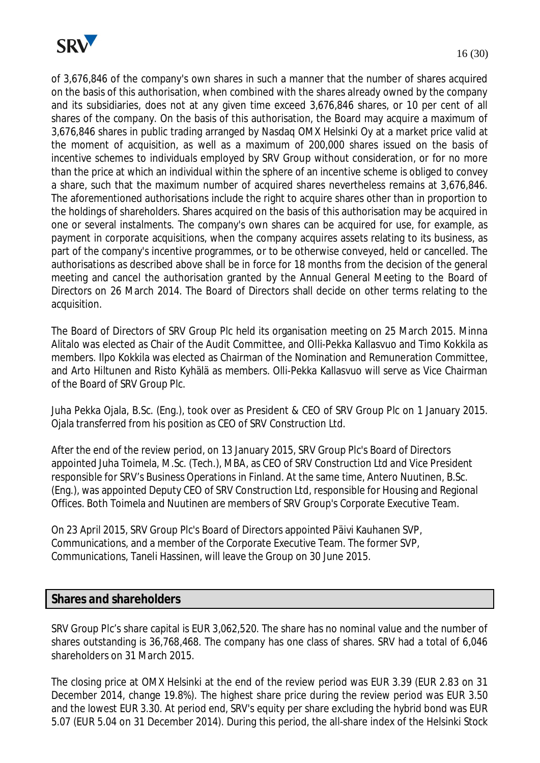

of 3,676,846 of the company's own shares in such a manner that the number of shares acquired on the basis of this authorisation, when combined with the shares already owned by the company and its subsidiaries, does not at any given time exceed 3,676,846 shares, or 10 per cent of all shares of the company. On the basis of this authorisation, the Board may acquire a maximum of 3,676,846 shares in public trading arranged by Nasdaq OMX Helsinki Oy at a market price valid at the moment of acquisition, as well as a maximum of 200,000 shares issued on the basis of incentive schemes to individuals employed by SRV Group without consideration, or for no more than the price at which an individual within the sphere of an incentive scheme is obliged to convey a share, such that the maximum number of acquired shares nevertheless remains at 3,676,846. The aforementioned authorisations include the right to acquire shares other than in proportion to the holdings of shareholders. Shares acquired on the basis of this authorisation may be acquired in one or several instalments. The company's own shares can be acquired for use, for example, as payment in corporate acquisitions, when the company acquires assets relating to its business, as part of the company's incentive programmes, or to be otherwise conveyed, held or cancelled. The authorisations as described above shall be in force for 18 months from the decision of the general meeting and cancel the authorisation granted by the Annual General Meeting to the Board of Directors on 26 March 2014. The Board of Directors shall decide on other terms relating to the acquisition.

The Board of Directors of SRV Group Plc held its organisation meeting on 25 March 2015. Minna Alitalo was elected as Chair of the Audit Committee, and Olli-Pekka Kallasvuo and Timo Kokkila as members. Ilpo Kokkila was elected as Chairman of the Nomination and Remuneration Committee, and Arto Hiltunen and Risto Kyhälä as members. Olli-Pekka Kallasvuo will serve as Vice Chairman of the Board of SRV Group Plc.

Juha Pekka Ojala, B.Sc. (Eng.), took over as President & CEO of SRV Group Plc on 1 January 2015. Ojala transferred from his position as CEO of SRV Construction Ltd.

After the end of the review period, on 13 January 2015, SRV Group Plc's Board of Directors appointed Juha Toimela, M.Sc. (Tech.), MBA, as CEO of SRV Construction Ltd and Vice President responsible for SRV's Business Operations in Finland. At the same time, Antero Nuutinen, B.Sc. (Eng.), was appointed Deputy CEO of SRV Construction Ltd, responsible for Housing and Regional Offices. Both Toimela and Nuutinen are members of SRV Group's Corporate Executive Team.

On 23 April 2015, SRV Group Plc's Board of Directors appointed Päivi Kauhanen SVP, Communications, and a member of the Corporate Executive Team. The former SVP, Communications, Taneli Hassinen, will leave the Group on 30 June 2015.

## **Shares and shareholders**

SRV Group Plc's share capital is EUR 3,062,520. The share has no nominal value and the number of shares outstanding is 36,768,468. The company has one class of shares. SRV had a total of 6,046 shareholders on 31 March 2015.

The closing price at OMX Helsinki at the end of the review period was EUR 3.39 (EUR 2.83 on 31 December 2014, change 19.8%). The highest share price during the review period was EUR 3.50 and the lowest EUR 3.30. At period end, SRV's equity per share excluding the hybrid bond was EUR 5.07 (EUR 5.04 on 31 December 2014). During this period, the all-share index of the Helsinki Stock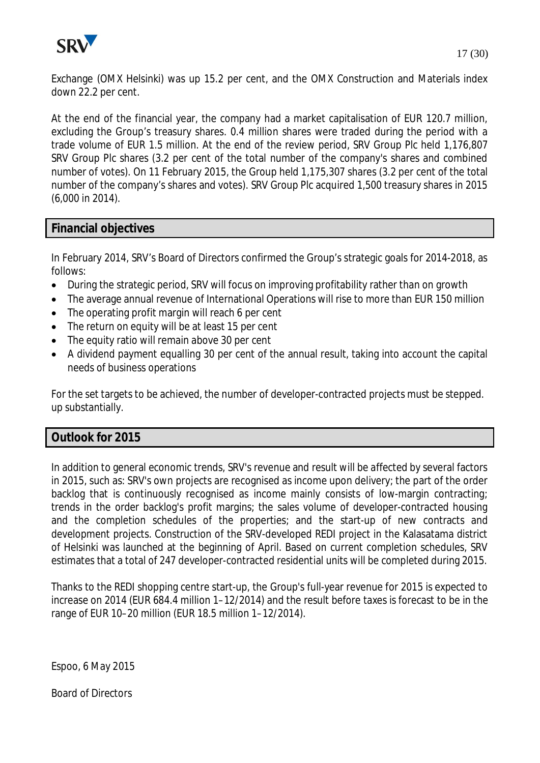

Exchange (OMX Helsinki) was up 15.2 per cent, and the OMX Construction and Materials index down 22.2 per cent.

At the end of the financial year, the company had a market capitalisation of EUR 120.7 million, excluding the Group's treasury shares. 0.4 million shares were traded during the period with a trade volume of EUR 1.5 million. At the end of the review period, SRV Group Plc held 1,176,807 SRV Group Plc shares (3.2 per cent of the total number of the company's shares and combined number of votes). On 11 February 2015, the Group held 1,175,307 shares (3.2 per cent of the total number of the company's shares and votes). SRV Group Plc acquired 1,500 treasury shares in 2015 (6,000 in 2014).

#### **Financial objectives**

In February 2014, SRV's Board of Directors confirmed the Group's strategic goals for 2014-2018, as follows:

- During the strategic period, SRV will focus on improving profitability rather than on growth
- The average annual revenue of International Operations will rise to more than EUR 150 million
- The operating profit margin will reach 6 per cent
- The return on equity will be at least 15 per cent
- The equity ratio will remain above 30 per cent
- · A dividend payment equalling 30 per cent of the annual result, taking into account the capital needs of business operations

For the set targets to be achieved, the number of developer-contracted projects must be stepped. up substantially.

#### **Outlook for 2015**

In addition to general economic trends, SRV's revenue and result will be affected by several factors in 2015, such as: SRV's own projects are recognised as income upon delivery; the part of the order backlog that is continuously recognised as income mainly consists of low-margin contracting; trends in the order backlog's profit margins; the sales volume of developer-contracted housing and the completion schedules of the properties; and the start-up of new contracts and development projects. Construction of the SRV-developed REDI project in the Kalasatama district of Helsinki was launched at the beginning of April. Based on current completion schedules, SRV estimates that a total of 247 developer-contracted residential units will be completed during 2015.

Thanks to the REDI shopping centre start-up, the Group's full-year revenue for 2015 is expected to increase on 2014 (EUR 684.4 million 1–12/2014) and the result before taxes is forecast to be in the range of EUR 10–20 million (EUR 18.5 million 1–12/2014).

Espoo, 6 May 2015

Board of Directors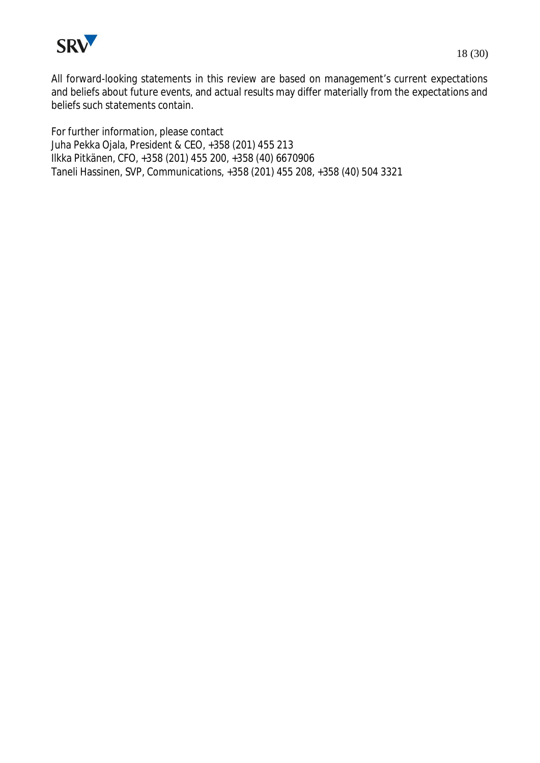

All forward-looking statements in this review are based on management's current expectations and beliefs about future events, and actual results may differ materially from the expectations and beliefs such statements contain.

For further information, please contact Juha Pekka Ojala, President & CEO, +358 (201) 455 213 Ilkka Pitkänen, CFO, +358 (201) 455 200, +358 (40) 6670906 Taneli Hassinen, SVP, Communications, +358 (201) 455 208, +358 (40) 504 3321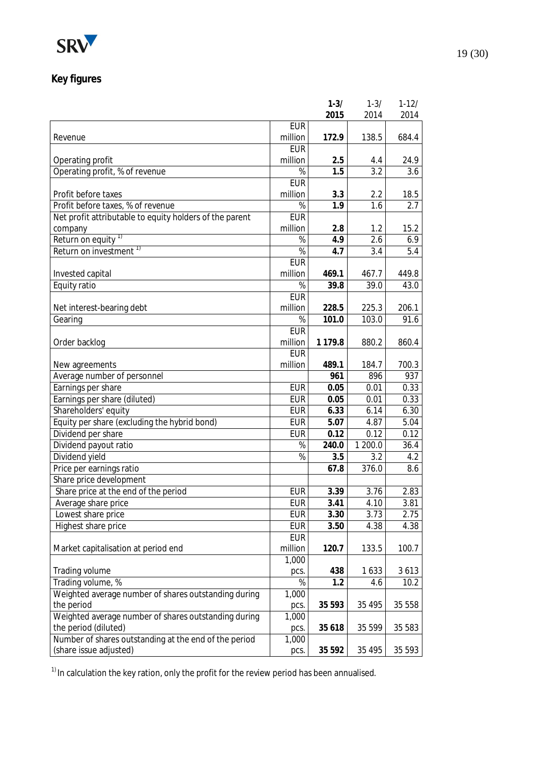

# **Key figures**

|                                                         |               | $1 - 3/$    | $1 - 3/$ | $1 - 12/$ |
|---------------------------------------------------------|---------------|-------------|----------|-----------|
|                                                         |               | 2015        | 2014     | 2014      |
|                                                         | <b>EUR</b>    |             |          |           |
| Revenue                                                 | million       | 172.9       | 138.5    | 684.4     |
|                                                         | <b>EUR</b>    |             |          |           |
| Operating profit                                        | million       | 2.5         | 4.4      | 24.9      |
| Operating profit, % of revenue                          | $\%$          | 1.5         | 3.2      | 3.6       |
|                                                         | <b>EUR</b>    |             |          |           |
| Profit before taxes                                     | million       | 3.3         | 2.2      | 18.5      |
| Profit before taxes, % of revenue                       | $\%$          | 1.9         | 1.6      | 2.7       |
| Net profit attributable to equity holders of the parent | <b>EUR</b>    |             |          |           |
| company                                                 | million       | 2.8         | 1.2      | 15.2      |
| Return on equity <sup>1)</sup>                          | %             | 4.9         | 2.6      | 6.9       |
| Return on investment <sup>1)</sup>                      | %             | 4.7         | 3.4      | 5.4       |
|                                                         | <b>EUR</b>    |             |          |           |
| Invested capital                                        | million       | 469.1       | 467.7    | 449.8     |
| Equity ratio                                            | $\%$          | 39.8        | 39.0     | 43.0      |
|                                                         | <b>EUR</b>    |             |          |           |
| Net interest-bearing debt                               | million       | 228.5       | 225.3    | 206.1     |
| Gearing                                                 | $\%$          | 101.0       | 103.0    | 91.6      |
|                                                         | <b>EUR</b>    |             |          |           |
| Order backlog                                           | million       | 1 1 7 9 . 8 | 880.2    | 860.4     |
|                                                         | <b>EUR</b>    |             |          |           |
| New agreements                                          | million       | 489.1       | 184.7    | 700.3     |
| Average number of personnel                             |               | 961         | 896      | 937       |
| Earnings per share                                      | <b>EUR</b>    | 0.05        | 0.01     | 0.33      |
| Earnings per share (diluted)                            | <b>EUR</b>    | 0.05        | 0.01     | 0.33      |
| Shareholders' equity                                    | <b>EUR</b>    | 6.33        | 6.14     | 6.30      |
| Equity per share (excluding the hybrid bond)            | <b>EUR</b>    | 5.07        | 4.87     | 5.04      |
|                                                         | <b>EUR</b>    |             |          | 0.12      |
| Dividend per share                                      |               | 0.12        | 0.12     |           |
| Dividend payout ratio                                   | %             | 240.0       | 1 200.0  | 36.4      |
| Dividend yield                                          | $\frac{9}{6}$ | 3.5         | 3.2      | 4.2       |
| Price per earnings ratio                                |               | 67.8        | 376.0    | 8.6       |
| Share price development                                 |               |             |          |           |
| Share price at the end of the period                    | <b>EUR</b>    | 3.39        | 3.76     | 2.83      |
| Average share price                                     | <b>EUR</b>    | 3.41        | 4.10     | 3.81      |
| Lowest share price                                      | <b>EUR</b>    | 3.30        | 3.73     | 2.75      |
| Highest share price                                     | <b>EUR</b>    | 3.50        | 4.38     | 4.38      |
|                                                         | <b>EUR</b>    |             |          |           |
| Market capitalisation at period end                     | million       | 120.7       | 133.5    | 100.7     |
|                                                         | 1,000         |             |          |           |
| Trading volume                                          | pcs.          | 438         | 1633     | 3613      |
| Trading volume, %                                       | %             | 1.2         | 4.6      | 10.2      |
| Weighted average number of shares outstanding during    | 1,000         |             |          |           |
| the period                                              | pcs.          | 35 5 93     | 35 4 95  | 35 558    |
| Weighted average number of shares outstanding during    | 1,000         |             |          |           |
| the period (diluted)                                    | pcs.          | 35 618      | 35 599   | 35 583    |
| Number of shares outstanding at the end of the period   | 1,000         |             |          |           |
| (share issue adjusted)                                  | pcs.          | 35 5 9 2    | 35 4 95  | 35 5 93   |

 $1)$  In calculation the key ration, only the profit for the review period has been annualised.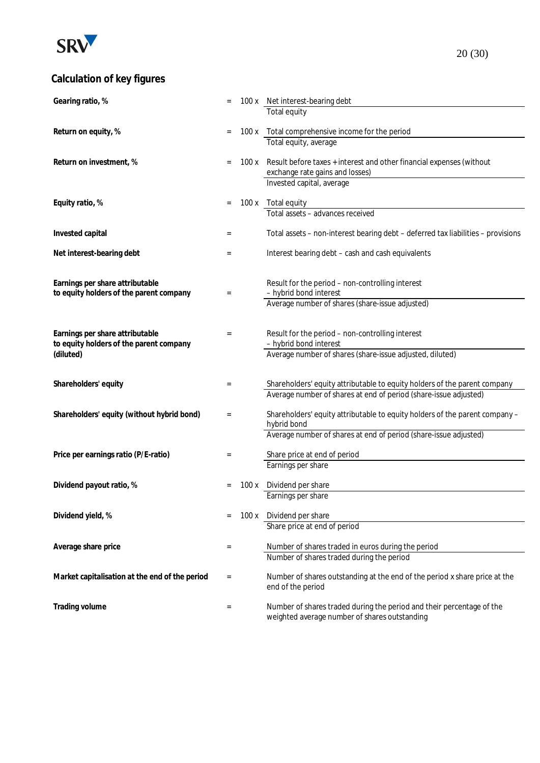

# **Calculation of key figures**

| Gearing ratio, %                               |     |       | 100 x Net interest-bearing debt                                                  |
|------------------------------------------------|-----|-------|----------------------------------------------------------------------------------|
|                                                |     |       | Total equity                                                                     |
| Return on equity, %                            |     | 100 x | Total comprehensive income for the period                                        |
|                                                |     |       | Total equity, average                                                            |
|                                                |     |       |                                                                                  |
| Return on investment, %                        |     | 100 x | Result before taxes + interest and other financial expenses (without             |
|                                                |     |       | exchange rate gains and losses)                                                  |
|                                                |     |       | Invested capital, average                                                        |
| Equity ratio, %                                | =   | 100x  | Total equity                                                                     |
|                                                |     |       | Total assets - advances received                                                 |
|                                                |     |       |                                                                                  |
| Invested capital                               | =   |       | Total assets - non-interest bearing debt - deferred tax liabilities - provisions |
|                                                |     |       |                                                                                  |
| Net interest-bearing debt                      | $=$ |       | Interest bearing debt - cash and cash equivalents                                |
|                                                |     |       |                                                                                  |
| Earnings per share attributable                |     |       | Result for the period - non-controlling interest                                 |
| to equity holders of the parent company        | $=$ |       | - hybrid bond interest                                                           |
|                                                |     |       | Average number of shares (share-issue adjusted)                                  |
|                                                |     |       |                                                                                  |
| Earnings per share attributable                | $=$ |       | Result for the period - non-controlling interest                                 |
| to equity holders of the parent company        |     |       | - hybrid bond interest                                                           |
| (diluted)                                      |     |       | Average number of shares (share-issue adjusted, diluted)                         |
|                                                |     |       |                                                                                  |
| Shareholders' equity                           | $=$ |       | Shareholders' equity attributable to equity holders of the parent company        |
|                                                |     |       | Average number of shares at end of period (share-issue adjusted)                 |
|                                                |     |       |                                                                                  |
| Shareholders' equity (without hybrid bond)     | $=$ |       | Shareholders' equity attributable to equity holders of the parent company -      |
|                                                |     |       | hybrid bond                                                                      |
|                                                |     |       | Average number of shares at end of period (share-issue adjusted)                 |
| Price per earnings ratio (P/E-ratio)           | $=$ |       | Share price at end of period                                                     |
|                                                |     |       | Earnings per share                                                               |
|                                                |     |       |                                                                                  |
| Dividend payout ratio, %                       |     | 100x  | Dividend per share                                                               |
|                                                |     |       | Earnings per share                                                               |
| Dividend yield, %                              |     |       | 100 x Dividend per share                                                         |
|                                                |     |       | Share price at end of period                                                     |
|                                                |     |       |                                                                                  |
| Average share price                            | $=$ |       | Number of shares traded in euros during the period                               |
|                                                |     |       | Number of shares traded during the period                                        |
| Market capitalisation at the end of the period | $=$ |       | Number of shares outstanding at the end of the period x share price at the       |
|                                                |     |       | end of the period                                                                |
|                                                |     |       |                                                                                  |
| Trading volume                                 | $=$ |       | Number of shares traded during the period and their percentage of the            |
|                                                |     |       | weighted average number of shares outstanding                                    |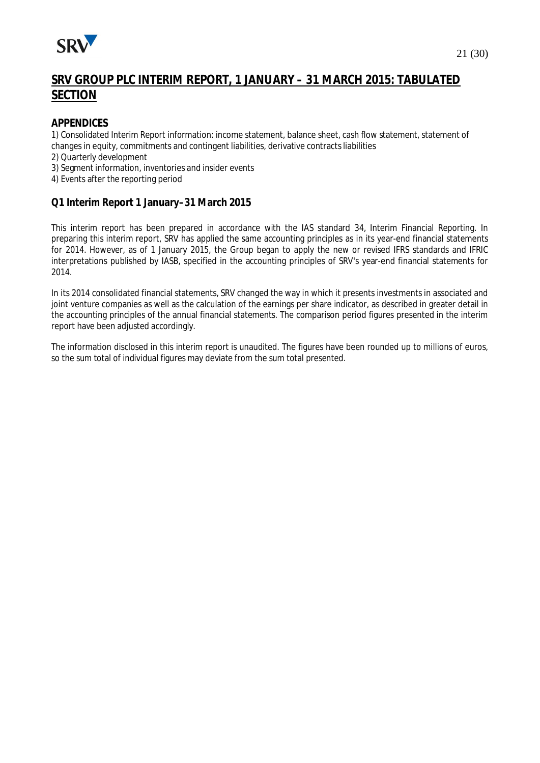

# **SRV GROUP PLC INTERIM REPORT, 1 JANUARY – 31 MARCH 2015: TABULATED SECTION**

#### **APPENDICES**

1) Consolidated Interim Report information: income statement, balance sheet, cash flow statement, statement of changes in equity, commitments and contingent liabilities, derivative contracts liabilities

2) Quarterly development

3) Segment information, inventories and insider events

4) Events after the reporting period

#### **Q1 Interim Report 1 January–31 March 2015**

This interim report has been prepared in accordance with the IAS standard 34, Interim Financial Reporting. In preparing this interim report, SRV has applied the same accounting principles as in its year-end financial statements for 2014. However, as of 1 January 2015, the Group began to apply the new or revised IFRS standards and IFRIC interpretations published by IASB, specified in the accounting principles of SRV's year-end financial statements for 2014.

In its 2014 consolidated financial statements, SRV changed the way in which it presents investments in associated and joint venture companies as well as the calculation of the earnings per share indicator, as described in greater detail in the accounting principles of the annual financial statements. The comparison period figures presented in the interim report have been adjusted accordingly.

The information disclosed in this interim report is unaudited. The figures have been rounded up to millions of euros, so the sum total of individual figures may deviate from the sum total presented.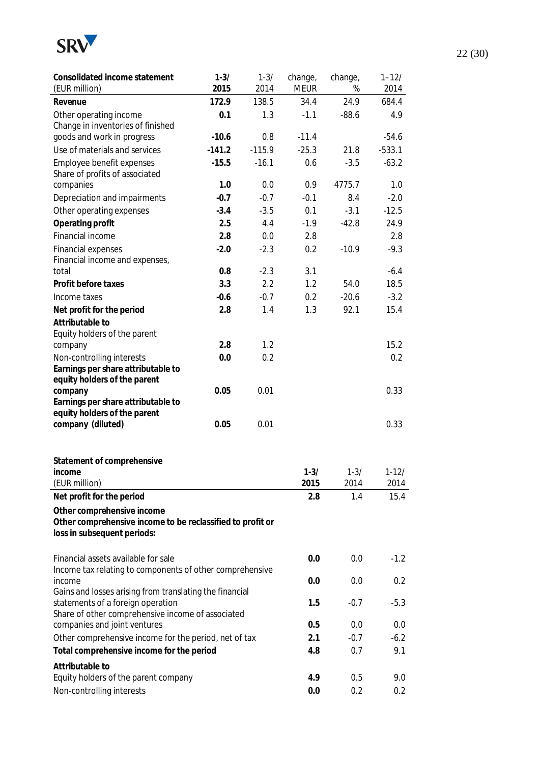

| Consolidated income statement<br>(EUR million)             | $1 - 3/$<br>2015 | $1 - 3/$<br>2014 | change,<br><b>MEUR</b> | change,<br>% | $1 - 12/$<br>2014 |
|------------------------------------------------------------|------------------|------------------|------------------------|--------------|-------------------|
| Revenue                                                    | 172.9            | 138.5            | 34.4                   | 24.9         | 684.4             |
| Other operating income                                     | 0.1              | 1.3              | $-1.1$                 | $-88.6$      | 4.9               |
| Change in inventories of finished                          |                  |                  |                        |              |                   |
| goods and work in progress                                 | $-10.6$          | 0.8              | $-11.4$                |              | $-54.6$           |
| Use of materials and services                              | $-141.2$         | $-115.9$         | $-25.3$                | 21.8         | $-533.1$          |
| Employee benefit expenses                                  | $-15.5$          | $-16.1$          | 0.6                    | $-3.5$       | $-63.2$           |
| Share of profits of associated                             |                  |                  |                        |              |                   |
| companies                                                  | 1.0              | 0.0              | 0.9                    | 4775.7       | 1.0               |
| Depreciation and impairments                               | $-0.7$           | $-0.7$           | $-0.1$                 | 8.4          | $-2.0$            |
| Other operating expenses                                   | $-3.4$           | $-3.5$           | 0.1                    | $-3.1$       | $-12.5$           |
| Operating profit                                           | 2.5              | 4.4              | $-1.9$                 | $-42.8$      | 24.9              |
| Financial income                                           | 2.8              | 0.0              | 2.8                    |              | 2.8               |
| <b>Financial expenses</b>                                  | $-2.0$           | $-2.3$           | 0.2                    | $-10.9$      | $-9.3$            |
| Financial income and expenses,                             |                  |                  |                        |              |                   |
| total                                                      | 0.8              | $-2.3$           | 3.1                    |              | $-6.4$            |
| Profit before taxes                                        | 3.3              | 2.2              | 1.2                    | 54.0         | 18.5              |
| Income taxes                                               | $-0.6$           | $-0.7$           | 0.2                    | $-20.6$      | $-3.2$            |
| Net profit for the period                                  | 2.8              | 1.4              | 1.3                    | 92.1         | 15.4              |
| Attributable to                                            |                  |                  |                        |              |                   |
| Equity holders of the parent                               |                  |                  |                        |              |                   |
| company                                                    | 2.8              | 1.2              |                        |              | 15.2              |
| Non-controlling interests                                  | 0.0              | 0.2              |                        |              | 0.2               |
| Earnings per share attributable to                         |                  |                  |                        |              |                   |
| equity holders of the parent<br>company                    | 0.05             | 0.01             |                        |              | 0.33              |
| Earnings per share attributable to                         |                  |                  |                        |              |                   |
| equity holders of the parent                               |                  |                  |                        |              |                   |
| company (diluted)                                          | 0.05             | 0.01             |                        |              | 0.33              |
|                                                            |                  |                  |                        |              |                   |
| Statement of comprehensive                                 |                  |                  |                        |              |                   |
| income                                                     |                  |                  | $1 - 3/$               | $1 - 3/$     | $1-12/$           |
| (EUR million)                                              |                  |                  | 2015                   | 2014         | 2014              |
| Net profit for the period                                  |                  |                  | 2.8                    | 1.4          | 15.4              |
| Other comprehensive income                                 |                  |                  |                        |              |                   |
| Other comprehensive income to be reclassified to profit or |                  |                  |                        |              |                   |
| loss in subsequent periods:                                |                  |                  |                        |              |                   |
|                                                            |                  |                  |                        |              |                   |
| Financial assets available for sale                        |                  |                  | 0.0                    | 0.0          | $-1.2$            |
| Income tax relating to components of other comprehensive   |                  |                  |                        |              |                   |
| income                                                     |                  |                  | 0.0                    | 0.0          | 0.2               |
| Gains and losses arising from translating the financial    |                  |                  |                        |              |                   |
| statements of a foreign operation                          | 1.5              | $-0.7$           | $-5.3$                 |              |                   |
| Share of other comprehensive income of associated          |                  |                  |                        |              |                   |
| companies and joint ventures                               | 0.5              | 0.0              | 0.0                    |              |                   |
| Other comprehensive income for the period, net of tax      |                  |                  | 2.1                    | $-0.7$       | $-6.2$            |
| Total comprehensive income for the period                  |                  |                  | 4.8                    | 0.7          | 9.1               |
| Attributable to                                            |                  |                  |                        |              |                   |
| Equity holders of the parent company                       |                  |                  | 4.9                    | 0.5          | 9.0               |
| Non-controlling interests                                  |                  |                  | 0.0                    | 0.2          | 0.2               |

22 (30)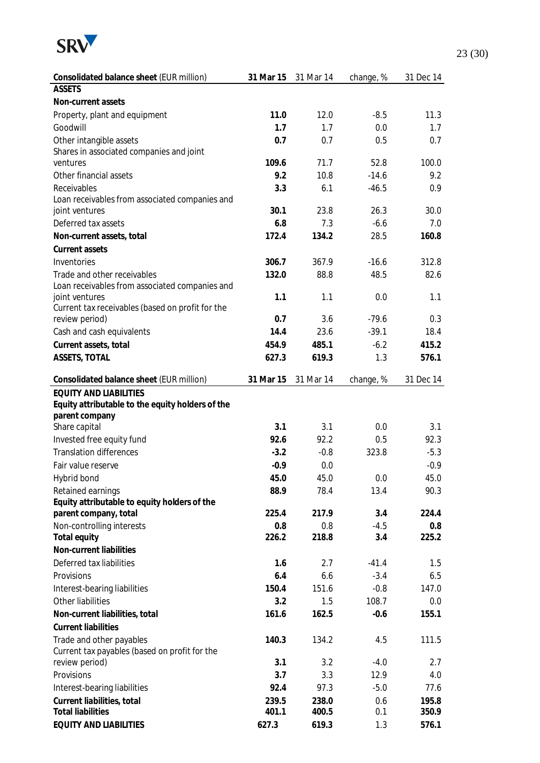

| <b>ASSETS</b><br>Non-current assets<br>11.0<br>$-8.5$<br>11.3<br>Property, plant and equipment<br>12.0<br>Goodwill<br>1.7<br>1.7<br>0.0<br>1.7<br>Other intangible assets<br>0.7<br>0.7<br>0.5<br>0.7<br>Shares in associated companies and joint<br>109.6<br>71.7<br>ventures<br>52.8<br>100.0<br>Other financial assets<br>9.2<br>$-14.6$<br>9.2<br>10.8<br>Receivables<br>6.1<br>0.9<br>3.3<br>$-46.5$<br>Loan receivables from associated companies and<br>30.1<br>23.8<br>26.3<br>30.0<br>joint ventures<br>Deferred tax assets<br>6.8<br>$-6.6$<br>7.0<br>7.3<br>172.4<br>134.2<br>28.5<br>Non-current assets, total<br>160.8<br>Current assets<br>Inventories<br>306.7<br>367.9<br>$-16.6$<br>312.8<br>Trade and other receivables<br>132.0<br>88.8<br>48.5<br>82.6<br>Loan receivables from associated companies and<br>1.1<br>1.1<br>0.0<br>1.1<br>joint ventures<br>Current tax receivables (based on profit for the<br>3.6<br>review period)<br>0.7<br>$-79.6$<br>0.3<br>Cash and cash equivalents<br>14.4<br>23.6<br>$-39.1$<br>18.4<br>Current assets, total<br>454.9<br>485.1<br>$-6.2$<br>415.2<br>ASSETS, TOTAL<br>627.3<br>619.3<br>1.3<br>576.1<br>Consolidated balance sheet (EUR million)<br>31 Mar 15<br>31 Mar 14<br>31 Dec 14<br>change, %<br><b>EQUITY AND LIABILITIES</b><br>Equity attributable to the equity holders of the<br>parent company<br>3.1<br>Share capital<br>3.1<br>0.0<br>3.1<br>Invested free equity fund<br>92.6<br>92.2<br>0.5<br>92.3<br><b>Translation differences</b><br>$-3.2$<br>$-0.8$<br>323.8<br>$-5.3$<br>$-0.9$<br>0.0<br>$-0.9$<br>Fair value reserve<br>45.0<br>45.0<br>45.0<br>Hybrid bond<br>0.0<br>Retained earnings<br>88.9<br>78.4<br>13.4<br>90.3<br>Equity attributable to equity holders of the<br>225.4<br>parent company, total<br>217.9<br>3.4<br>224.4<br>$-4.5$<br>Non-controlling interests<br>0.8<br>0.8<br>0.8<br>3.4<br>Total equity<br>226.2<br>218.8<br>225.2<br>Non-current liabilities<br>Deferred tax liabilities<br>1.6<br>2.7<br>$-41.4$<br>1.5<br>Provisions<br>6.4<br>6.6<br>$-3.4$<br>6.5<br>151.6<br>Interest-bearing liabilities<br>150.4<br>$-0.8$<br>147.0<br>Other liabilities<br>108.7<br>3.2<br>1.5<br>0.0<br>Non-current liabilities, total<br>161.6<br>162.5<br>$-0.6$<br>155.1<br><b>Current liabilities</b><br>Trade and other payables<br>140.3<br>134.2<br>4.5<br>111.5<br>Current tax payables (based on profit for the<br>review period)<br>3.1<br>3.2<br>$-4.0$<br>2.7<br>Provisions<br>3.7<br>3.3<br>12.9<br>4.0<br>92.4<br>97.3<br>$-5.0$<br>77.6<br>Interest-bearing liabilities<br>Current liabilities, total<br>239.5<br>238.0<br>0.6<br>195.8<br><b>Total liabilities</b><br>401.1<br>400.5<br>0.1<br>350.9<br>EQUITY AND LIABILITIES<br>627.3<br>619.3<br>1.3<br>576.1 | Consolidated balance sheet (EUR million) | 31 Mar 15 | 31 Mar 14 | change, % | 31 Dec 14 |
|---------------------------------------------------------------------------------------------------------------------------------------------------------------------------------------------------------------------------------------------------------------------------------------------------------------------------------------------------------------------------------------------------------------------------------------------------------------------------------------------------------------------------------------------------------------------------------------------------------------------------------------------------------------------------------------------------------------------------------------------------------------------------------------------------------------------------------------------------------------------------------------------------------------------------------------------------------------------------------------------------------------------------------------------------------------------------------------------------------------------------------------------------------------------------------------------------------------------------------------------------------------------------------------------------------------------------------------------------------------------------------------------------------------------------------------------------------------------------------------------------------------------------------------------------------------------------------------------------------------------------------------------------------------------------------------------------------------------------------------------------------------------------------------------------------------------------------------------------------------------------------------------------------------------------------------------------------------------------------------------------------------------------------------------------------------------------------------------------------------------------------------------------------------------------------------------------------------------------------------------------------------------------------------------------------------------------------------------------------------------------------------------------------------------------------------------------------------------------------------------------------------------------------------------------------------------------------------------------------------------------------------------------------------------------------------------------------------------------------------------------------------------------------|------------------------------------------|-----------|-----------|-----------|-----------|
|                                                                                                                                                                                                                                                                                                                                                                                                                                                                                                                                                                                                                                                                                                                                                                                                                                                                                                                                                                                                                                                                                                                                                                                                                                                                                                                                                                                                                                                                                                                                                                                                                                                                                                                                                                                                                                                                                                                                                                                                                                                                                                                                                                                                                                                                                                                                                                                                                                                                                                                                                                                                                                                                                                                                                                                 |                                          |           |           |           |           |
|                                                                                                                                                                                                                                                                                                                                                                                                                                                                                                                                                                                                                                                                                                                                                                                                                                                                                                                                                                                                                                                                                                                                                                                                                                                                                                                                                                                                                                                                                                                                                                                                                                                                                                                                                                                                                                                                                                                                                                                                                                                                                                                                                                                                                                                                                                                                                                                                                                                                                                                                                                                                                                                                                                                                                                                 |                                          |           |           |           |           |
|                                                                                                                                                                                                                                                                                                                                                                                                                                                                                                                                                                                                                                                                                                                                                                                                                                                                                                                                                                                                                                                                                                                                                                                                                                                                                                                                                                                                                                                                                                                                                                                                                                                                                                                                                                                                                                                                                                                                                                                                                                                                                                                                                                                                                                                                                                                                                                                                                                                                                                                                                                                                                                                                                                                                                                                 |                                          |           |           |           |           |
|                                                                                                                                                                                                                                                                                                                                                                                                                                                                                                                                                                                                                                                                                                                                                                                                                                                                                                                                                                                                                                                                                                                                                                                                                                                                                                                                                                                                                                                                                                                                                                                                                                                                                                                                                                                                                                                                                                                                                                                                                                                                                                                                                                                                                                                                                                                                                                                                                                                                                                                                                                                                                                                                                                                                                                                 |                                          |           |           |           |           |
|                                                                                                                                                                                                                                                                                                                                                                                                                                                                                                                                                                                                                                                                                                                                                                                                                                                                                                                                                                                                                                                                                                                                                                                                                                                                                                                                                                                                                                                                                                                                                                                                                                                                                                                                                                                                                                                                                                                                                                                                                                                                                                                                                                                                                                                                                                                                                                                                                                                                                                                                                                                                                                                                                                                                                                                 |                                          |           |           |           |           |
|                                                                                                                                                                                                                                                                                                                                                                                                                                                                                                                                                                                                                                                                                                                                                                                                                                                                                                                                                                                                                                                                                                                                                                                                                                                                                                                                                                                                                                                                                                                                                                                                                                                                                                                                                                                                                                                                                                                                                                                                                                                                                                                                                                                                                                                                                                                                                                                                                                                                                                                                                                                                                                                                                                                                                                                 |                                          |           |           |           |           |
|                                                                                                                                                                                                                                                                                                                                                                                                                                                                                                                                                                                                                                                                                                                                                                                                                                                                                                                                                                                                                                                                                                                                                                                                                                                                                                                                                                                                                                                                                                                                                                                                                                                                                                                                                                                                                                                                                                                                                                                                                                                                                                                                                                                                                                                                                                                                                                                                                                                                                                                                                                                                                                                                                                                                                                                 |                                          |           |           |           |           |
|                                                                                                                                                                                                                                                                                                                                                                                                                                                                                                                                                                                                                                                                                                                                                                                                                                                                                                                                                                                                                                                                                                                                                                                                                                                                                                                                                                                                                                                                                                                                                                                                                                                                                                                                                                                                                                                                                                                                                                                                                                                                                                                                                                                                                                                                                                                                                                                                                                                                                                                                                                                                                                                                                                                                                                                 |                                          |           |           |           |           |
|                                                                                                                                                                                                                                                                                                                                                                                                                                                                                                                                                                                                                                                                                                                                                                                                                                                                                                                                                                                                                                                                                                                                                                                                                                                                                                                                                                                                                                                                                                                                                                                                                                                                                                                                                                                                                                                                                                                                                                                                                                                                                                                                                                                                                                                                                                                                                                                                                                                                                                                                                                                                                                                                                                                                                                                 |                                          |           |           |           |           |
|                                                                                                                                                                                                                                                                                                                                                                                                                                                                                                                                                                                                                                                                                                                                                                                                                                                                                                                                                                                                                                                                                                                                                                                                                                                                                                                                                                                                                                                                                                                                                                                                                                                                                                                                                                                                                                                                                                                                                                                                                                                                                                                                                                                                                                                                                                                                                                                                                                                                                                                                                                                                                                                                                                                                                                                 |                                          |           |           |           |           |
|                                                                                                                                                                                                                                                                                                                                                                                                                                                                                                                                                                                                                                                                                                                                                                                                                                                                                                                                                                                                                                                                                                                                                                                                                                                                                                                                                                                                                                                                                                                                                                                                                                                                                                                                                                                                                                                                                                                                                                                                                                                                                                                                                                                                                                                                                                                                                                                                                                                                                                                                                                                                                                                                                                                                                                                 |                                          |           |           |           |           |
|                                                                                                                                                                                                                                                                                                                                                                                                                                                                                                                                                                                                                                                                                                                                                                                                                                                                                                                                                                                                                                                                                                                                                                                                                                                                                                                                                                                                                                                                                                                                                                                                                                                                                                                                                                                                                                                                                                                                                                                                                                                                                                                                                                                                                                                                                                                                                                                                                                                                                                                                                                                                                                                                                                                                                                                 |                                          |           |           |           |           |
|                                                                                                                                                                                                                                                                                                                                                                                                                                                                                                                                                                                                                                                                                                                                                                                                                                                                                                                                                                                                                                                                                                                                                                                                                                                                                                                                                                                                                                                                                                                                                                                                                                                                                                                                                                                                                                                                                                                                                                                                                                                                                                                                                                                                                                                                                                                                                                                                                                                                                                                                                                                                                                                                                                                                                                                 |                                          |           |           |           |           |
|                                                                                                                                                                                                                                                                                                                                                                                                                                                                                                                                                                                                                                                                                                                                                                                                                                                                                                                                                                                                                                                                                                                                                                                                                                                                                                                                                                                                                                                                                                                                                                                                                                                                                                                                                                                                                                                                                                                                                                                                                                                                                                                                                                                                                                                                                                                                                                                                                                                                                                                                                                                                                                                                                                                                                                                 |                                          |           |           |           |           |
|                                                                                                                                                                                                                                                                                                                                                                                                                                                                                                                                                                                                                                                                                                                                                                                                                                                                                                                                                                                                                                                                                                                                                                                                                                                                                                                                                                                                                                                                                                                                                                                                                                                                                                                                                                                                                                                                                                                                                                                                                                                                                                                                                                                                                                                                                                                                                                                                                                                                                                                                                                                                                                                                                                                                                                                 |                                          |           |           |           |           |
|                                                                                                                                                                                                                                                                                                                                                                                                                                                                                                                                                                                                                                                                                                                                                                                                                                                                                                                                                                                                                                                                                                                                                                                                                                                                                                                                                                                                                                                                                                                                                                                                                                                                                                                                                                                                                                                                                                                                                                                                                                                                                                                                                                                                                                                                                                                                                                                                                                                                                                                                                                                                                                                                                                                                                                                 |                                          |           |           |           |           |
|                                                                                                                                                                                                                                                                                                                                                                                                                                                                                                                                                                                                                                                                                                                                                                                                                                                                                                                                                                                                                                                                                                                                                                                                                                                                                                                                                                                                                                                                                                                                                                                                                                                                                                                                                                                                                                                                                                                                                                                                                                                                                                                                                                                                                                                                                                                                                                                                                                                                                                                                                                                                                                                                                                                                                                                 |                                          |           |           |           |           |
|                                                                                                                                                                                                                                                                                                                                                                                                                                                                                                                                                                                                                                                                                                                                                                                                                                                                                                                                                                                                                                                                                                                                                                                                                                                                                                                                                                                                                                                                                                                                                                                                                                                                                                                                                                                                                                                                                                                                                                                                                                                                                                                                                                                                                                                                                                                                                                                                                                                                                                                                                                                                                                                                                                                                                                                 |                                          |           |           |           |           |
|                                                                                                                                                                                                                                                                                                                                                                                                                                                                                                                                                                                                                                                                                                                                                                                                                                                                                                                                                                                                                                                                                                                                                                                                                                                                                                                                                                                                                                                                                                                                                                                                                                                                                                                                                                                                                                                                                                                                                                                                                                                                                                                                                                                                                                                                                                                                                                                                                                                                                                                                                                                                                                                                                                                                                                                 |                                          |           |           |           |           |
|                                                                                                                                                                                                                                                                                                                                                                                                                                                                                                                                                                                                                                                                                                                                                                                                                                                                                                                                                                                                                                                                                                                                                                                                                                                                                                                                                                                                                                                                                                                                                                                                                                                                                                                                                                                                                                                                                                                                                                                                                                                                                                                                                                                                                                                                                                                                                                                                                                                                                                                                                                                                                                                                                                                                                                                 |                                          |           |           |           |           |
|                                                                                                                                                                                                                                                                                                                                                                                                                                                                                                                                                                                                                                                                                                                                                                                                                                                                                                                                                                                                                                                                                                                                                                                                                                                                                                                                                                                                                                                                                                                                                                                                                                                                                                                                                                                                                                                                                                                                                                                                                                                                                                                                                                                                                                                                                                                                                                                                                                                                                                                                                                                                                                                                                                                                                                                 |                                          |           |           |           |           |
|                                                                                                                                                                                                                                                                                                                                                                                                                                                                                                                                                                                                                                                                                                                                                                                                                                                                                                                                                                                                                                                                                                                                                                                                                                                                                                                                                                                                                                                                                                                                                                                                                                                                                                                                                                                                                                                                                                                                                                                                                                                                                                                                                                                                                                                                                                                                                                                                                                                                                                                                                                                                                                                                                                                                                                                 |                                          |           |           |           |           |
|                                                                                                                                                                                                                                                                                                                                                                                                                                                                                                                                                                                                                                                                                                                                                                                                                                                                                                                                                                                                                                                                                                                                                                                                                                                                                                                                                                                                                                                                                                                                                                                                                                                                                                                                                                                                                                                                                                                                                                                                                                                                                                                                                                                                                                                                                                                                                                                                                                                                                                                                                                                                                                                                                                                                                                                 |                                          |           |           |           |           |
|                                                                                                                                                                                                                                                                                                                                                                                                                                                                                                                                                                                                                                                                                                                                                                                                                                                                                                                                                                                                                                                                                                                                                                                                                                                                                                                                                                                                                                                                                                                                                                                                                                                                                                                                                                                                                                                                                                                                                                                                                                                                                                                                                                                                                                                                                                                                                                                                                                                                                                                                                                                                                                                                                                                                                                                 |                                          |           |           |           |           |
|                                                                                                                                                                                                                                                                                                                                                                                                                                                                                                                                                                                                                                                                                                                                                                                                                                                                                                                                                                                                                                                                                                                                                                                                                                                                                                                                                                                                                                                                                                                                                                                                                                                                                                                                                                                                                                                                                                                                                                                                                                                                                                                                                                                                                                                                                                                                                                                                                                                                                                                                                                                                                                                                                                                                                                                 |                                          |           |           |           |           |
|                                                                                                                                                                                                                                                                                                                                                                                                                                                                                                                                                                                                                                                                                                                                                                                                                                                                                                                                                                                                                                                                                                                                                                                                                                                                                                                                                                                                                                                                                                                                                                                                                                                                                                                                                                                                                                                                                                                                                                                                                                                                                                                                                                                                                                                                                                                                                                                                                                                                                                                                                                                                                                                                                                                                                                                 |                                          |           |           |           |           |
|                                                                                                                                                                                                                                                                                                                                                                                                                                                                                                                                                                                                                                                                                                                                                                                                                                                                                                                                                                                                                                                                                                                                                                                                                                                                                                                                                                                                                                                                                                                                                                                                                                                                                                                                                                                                                                                                                                                                                                                                                                                                                                                                                                                                                                                                                                                                                                                                                                                                                                                                                                                                                                                                                                                                                                                 |                                          |           |           |           |           |
|                                                                                                                                                                                                                                                                                                                                                                                                                                                                                                                                                                                                                                                                                                                                                                                                                                                                                                                                                                                                                                                                                                                                                                                                                                                                                                                                                                                                                                                                                                                                                                                                                                                                                                                                                                                                                                                                                                                                                                                                                                                                                                                                                                                                                                                                                                                                                                                                                                                                                                                                                                                                                                                                                                                                                                                 |                                          |           |           |           |           |
|                                                                                                                                                                                                                                                                                                                                                                                                                                                                                                                                                                                                                                                                                                                                                                                                                                                                                                                                                                                                                                                                                                                                                                                                                                                                                                                                                                                                                                                                                                                                                                                                                                                                                                                                                                                                                                                                                                                                                                                                                                                                                                                                                                                                                                                                                                                                                                                                                                                                                                                                                                                                                                                                                                                                                                                 |                                          |           |           |           |           |
|                                                                                                                                                                                                                                                                                                                                                                                                                                                                                                                                                                                                                                                                                                                                                                                                                                                                                                                                                                                                                                                                                                                                                                                                                                                                                                                                                                                                                                                                                                                                                                                                                                                                                                                                                                                                                                                                                                                                                                                                                                                                                                                                                                                                                                                                                                                                                                                                                                                                                                                                                                                                                                                                                                                                                                                 |                                          |           |           |           |           |
|                                                                                                                                                                                                                                                                                                                                                                                                                                                                                                                                                                                                                                                                                                                                                                                                                                                                                                                                                                                                                                                                                                                                                                                                                                                                                                                                                                                                                                                                                                                                                                                                                                                                                                                                                                                                                                                                                                                                                                                                                                                                                                                                                                                                                                                                                                                                                                                                                                                                                                                                                                                                                                                                                                                                                                                 |                                          |           |           |           |           |
|                                                                                                                                                                                                                                                                                                                                                                                                                                                                                                                                                                                                                                                                                                                                                                                                                                                                                                                                                                                                                                                                                                                                                                                                                                                                                                                                                                                                                                                                                                                                                                                                                                                                                                                                                                                                                                                                                                                                                                                                                                                                                                                                                                                                                                                                                                                                                                                                                                                                                                                                                                                                                                                                                                                                                                                 |                                          |           |           |           |           |
|                                                                                                                                                                                                                                                                                                                                                                                                                                                                                                                                                                                                                                                                                                                                                                                                                                                                                                                                                                                                                                                                                                                                                                                                                                                                                                                                                                                                                                                                                                                                                                                                                                                                                                                                                                                                                                                                                                                                                                                                                                                                                                                                                                                                                                                                                                                                                                                                                                                                                                                                                                                                                                                                                                                                                                                 |                                          |           |           |           |           |
|                                                                                                                                                                                                                                                                                                                                                                                                                                                                                                                                                                                                                                                                                                                                                                                                                                                                                                                                                                                                                                                                                                                                                                                                                                                                                                                                                                                                                                                                                                                                                                                                                                                                                                                                                                                                                                                                                                                                                                                                                                                                                                                                                                                                                                                                                                                                                                                                                                                                                                                                                                                                                                                                                                                                                                                 |                                          |           |           |           |           |
|                                                                                                                                                                                                                                                                                                                                                                                                                                                                                                                                                                                                                                                                                                                                                                                                                                                                                                                                                                                                                                                                                                                                                                                                                                                                                                                                                                                                                                                                                                                                                                                                                                                                                                                                                                                                                                                                                                                                                                                                                                                                                                                                                                                                                                                                                                                                                                                                                                                                                                                                                                                                                                                                                                                                                                                 |                                          |           |           |           |           |
|                                                                                                                                                                                                                                                                                                                                                                                                                                                                                                                                                                                                                                                                                                                                                                                                                                                                                                                                                                                                                                                                                                                                                                                                                                                                                                                                                                                                                                                                                                                                                                                                                                                                                                                                                                                                                                                                                                                                                                                                                                                                                                                                                                                                                                                                                                                                                                                                                                                                                                                                                                                                                                                                                                                                                                                 |                                          |           |           |           |           |
|                                                                                                                                                                                                                                                                                                                                                                                                                                                                                                                                                                                                                                                                                                                                                                                                                                                                                                                                                                                                                                                                                                                                                                                                                                                                                                                                                                                                                                                                                                                                                                                                                                                                                                                                                                                                                                                                                                                                                                                                                                                                                                                                                                                                                                                                                                                                                                                                                                                                                                                                                                                                                                                                                                                                                                                 |                                          |           |           |           |           |
|                                                                                                                                                                                                                                                                                                                                                                                                                                                                                                                                                                                                                                                                                                                                                                                                                                                                                                                                                                                                                                                                                                                                                                                                                                                                                                                                                                                                                                                                                                                                                                                                                                                                                                                                                                                                                                                                                                                                                                                                                                                                                                                                                                                                                                                                                                                                                                                                                                                                                                                                                                                                                                                                                                                                                                                 |                                          |           |           |           |           |
|                                                                                                                                                                                                                                                                                                                                                                                                                                                                                                                                                                                                                                                                                                                                                                                                                                                                                                                                                                                                                                                                                                                                                                                                                                                                                                                                                                                                                                                                                                                                                                                                                                                                                                                                                                                                                                                                                                                                                                                                                                                                                                                                                                                                                                                                                                                                                                                                                                                                                                                                                                                                                                                                                                                                                                                 |                                          |           |           |           |           |
|                                                                                                                                                                                                                                                                                                                                                                                                                                                                                                                                                                                                                                                                                                                                                                                                                                                                                                                                                                                                                                                                                                                                                                                                                                                                                                                                                                                                                                                                                                                                                                                                                                                                                                                                                                                                                                                                                                                                                                                                                                                                                                                                                                                                                                                                                                                                                                                                                                                                                                                                                                                                                                                                                                                                                                                 |                                          |           |           |           |           |
|                                                                                                                                                                                                                                                                                                                                                                                                                                                                                                                                                                                                                                                                                                                                                                                                                                                                                                                                                                                                                                                                                                                                                                                                                                                                                                                                                                                                                                                                                                                                                                                                                                                                                                                                                                                                                                                                                                                                                                                                                                                                                                                                                                                                                                                                                                                                                                                                                                                                                                                                                                                                                                                                                                                                                                                 |                                          |           |           |           |           |
|                                                                                                                                                                                                                                                                                                                                                                                                                                                                                                                                                                                                                                                                                                                                                                                                                                                                                                                                                                                                                                                                                                                                                                                                                                                                                                                                                                                                                                                                                                                                                                                                                                                                                                                                                                                                                                                                                                                                                                                                                                                                                                                                                                                                                                                                                                                                                                                                                                                                                                                                                                                                                                                                                                                                                                                 |                                          |           |           |           |           |
|                                                                                                                                                                                                                                                                                                                                                                                                                                                                                                                                                                                                                                                                                                                                                                                                                                                                                                                                                                                                                                                                                                                                                                                                                                                                                                                                                                                                                                                                                                                                                                                                                                                                                                                                                                                                                                                                                                                                                                                                                                                                                                                                                                                                                                                                                                                                                                                                                                                                                                                                                                                                                                                                                                                                                                                 |                                          |           |           |           |           |
|                                                                                                                                                                                                                                                                                                                                                                                                                                                                                                                                                                                                                                                                                                                                                                                                                                                                                                                                                                                                                                                                                                                                                                                                                                                                                                                                                                                                                                                                                                                                                                                                                                                                                                                                                                                                                                                                                                                                                                                                                                                                                                                                                                                                                                                                                                                                                                                                                                                                                                                                                                                                                                                                                                                                                                                 |                                          |           |           |           |           |
|                                                                                                                                                                                                                                                                                                                                                                                                                                                                                                                                                                                                                                                                                                                                                                                                                                                                                                                                                                                                                                                                                                                                                                                                                                                                                                                                                                                                                                                                                                                                                                                                                                                                                                                                                                                                                                                                                                                                                                                                                                                                                                                                                                                                                                                                                                                                                                                                                                                                                                                                                                                                                                                                                                                                                                                 |                                          |           |           |           |           |
|                                                                                                                                                                                                                                                                                                                                                                                                                                                                                                                                                                                                                                                                                                                                                                                                                                                                                                                                                                                                                                                                                                                                                                                                                                                                                                                                                                                                                                                                                                                                                                                                                                                                                                                                                                                                                                                                                                                                                                                                                                                                                                                                                                                                                                                                                                                                                                                                                                                                                                                                                                                                                                                                                                                                                                                 |                                          |           |           |           |           |
|                                                                                                                                                                                                                                                                                                                                                                                                                                                                                                                                                                                                                                                                                                                                                                                                                                                                                                                                                                                                                                                                                                                                                                                                                                                                                                                                                                                                                                                                                                                                                                                                                                                                                                                                                                                                                                                                                                                                                                                                                                                                                                                                                                                                                                                                                                                                                                                                                                                                                                                                                                                                                                                                                                                                                                                 |                                          |           |           |           |           |
|                                                                                                                                                                                                                                                                                                                                                                                                                                                                                                                                                                                                                                                                                                                                                                                                                                                                                                                                                                                                                                                                                                                                                                                                                                                                                                                                                                                                                                                                                                                                                                                                                                                                                                                                                                                                                                                                                                                                                                                                                                                                                                                                                                                                                                                                                                                                                                                                                                                                                                                                                                                                                                                                                                                                                                                 |                                          |           |           |           |           |
|                                                                                                                                                                                                                                                                                                                                                                                                                                                                                                                                                                                                                                                                                                                                                                                                                                                                                                                                                                                                                                                                                                                                                                                                                                                                                                                                                                                                                                                                                                                                                                                                                                                                                                                                                                                                                                                                                                                                                                                                                                                                                                                                                                                                                                                                                                                                                                                                                                                                                                                                                                                                                                                                                                                                                                                 |                                          |           |           |           |           |
|                                                                                                                                                                                                                                                                                                                                                                                                                                                                                                                                                                                                                                                                                                                                                                                                                                                                                                                                                                                                                                                                                                                                                                                                                                                                                                                                                                                                                                                                                                                                                                                                                                                                                                                                                                                                                                                                                                                                                                                                                                                                                                                                                                                                                                                                                                                                                                                                                                                                                                                                                                                                                                                                                                                                                                                 |                                          |           |           |           |           |
|                                                                                                                                                                                                                                                                                                                                                                                                                                                                                                                                                                                                                                                                                                                                                                                                                                                                                                                                                                                                                                                                                                                                                                                                                                                                                                                                                                                                                                                                                                                                                                                                                                                                                                                                                                                                                                                                                                                                                                                                                                                                                                                                                                                                                                                                                                                                                                                                                                                                                                                                                                                                                                                                                                                                                                                 |                                          |           |           |           |           |
|                                                                                                                                                                                                                                                                                                                                                                                                                                                                                                                                                                                                                                                                                                                                                                                                                                                                                                                                                                                                                                                                                                                                                                                                                                                                                                                                                                                                                                                                                                                                                                                                                                                                                                                                                                                                                                                                                                                                                                                                                                                                                                                                                                                                                                                                                                                                                                                                                                                                                                                                                                                                                                                                                                                                                                                 |                                          |           |           |           |           |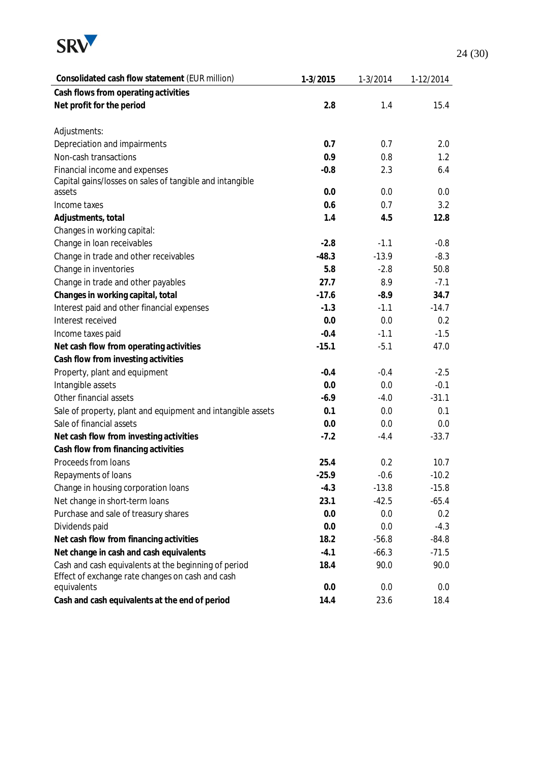

| Consolidated cash flow statement (EUR million)              | 1-3/2015 | 1-3/2014 | 1-12/2014 |
|-------------------------------------------------------------|----------|----------|-----------|
| Cash flows from operating activities                        |          |          |           |
| Net profit for the period                                   | 2.8      | 1.4      | 15.4      |
|                                                             |          |          |           |
| Adjustments:                                                |          |          |           |
| Depreciation and impairments                                | 0.7      | 0.7      | 2.0       |
| Non-cash transactions                                       | 0.9      | 0.8      | 1.2       |
| Financial income and expenses                               | $-0.8$   | 2.3      | 6.4       |
| Capital gains/losses on sales of tangible and intangible    |          |          |           |
| assets                                                      | 0.0      | 0.0      | 0.0       |
| Income taxes                                                | 0.6      | 0.7      | 3.2       |
| Adjustments, total                                          | 1.4      | 4.5      | 12.8      |
| Changes in working capital:                                 |          |          |           |
| Change in loan receivables                                  | $-2.8$   | $-1.1$   | $-0.8$    |
| Change in trade and other receivables                       | $-48.3$  | $-13.9$  | $-8.3$    |
| Change in inventories                                       | 5.8      | $-2.8$   | 50.8      |
| Change in trade and other payables                          | 27.7     | 8.9      | $-7.1$    |
| Changes in working capital, total                           | $-17.6$  | $-8.9$   | 34.7      |
| Interest paid and other financial expenses                  | $-1.3$   | $-1.1$   | $-14.7$   |
| Interest received                                           | 0.0      | 0.0      | 0.2       |
| Income taxes paid                                           | $-0.4$   | $-1.1$   | $-1.5$    |
| Net cash flow from operating activities                     | $-15.1$  | $-5.1$   | 47.0      |
| Cash flow from investing activities                         |          |          |           |
| Property, plant and equipment                               | $-0.4$   | $-0.4$   | $-2.5$    |
| Intangible assets                                           | 0.0      | 0.0      | $-0.1$    |
| Other financial assets                                      | $-6.9$   | $-4.0$   | $-31.1$   |
| Sale of property, plant and equipment and intangible assets | 0.1      | 0.0      | 0.1       |
| Sale of financial assets                                    | 0.0      | 0.0      | 0.0       |
| Net cash flow from investing activities                     | $-7.2$   | $-4.4$   | $-33.7$   |
| Cash flow from financing activities                         |          |          |           |
| Proceeds from loans                                         | 25.4     | 0.2      | 10.7      |
| Repayments of loans                                         | $-25.9$  | $-0.6$   | $-10.2$   |
| Change in housing corporation loans                         | $-4.3$   | $-13.8$  | $-15.8$   |
| Net change in short-term loans                              | 23.1     | $-42.5$  | $-65.4$   |
| Purchase and sale of treasury shares                        | 0.0      | 0.0      | 0.2       |
| Dividends paid                                              | 0.0      | 0.0      | $-4.3$    |
| Net cash flow from financing activities                     | 18.2     | $-56.8$  | $-84.8$   |
| Net change in cash and cash equivalents                     | $-4.1$   | $-66.3$  | $-71.5$   |
| Cash and cash equivalents at the beginning of period        | 18.4     | 90.0     | 90.0      |
| Effect of exchange rate changes on cash and cash            |          |          |           |
| equivalents                                                 | 0.0      | 0.0      | 0.0       |
| Cash and cash equivalents at the end of period              | 14.4     | 23.6     | 18.4      |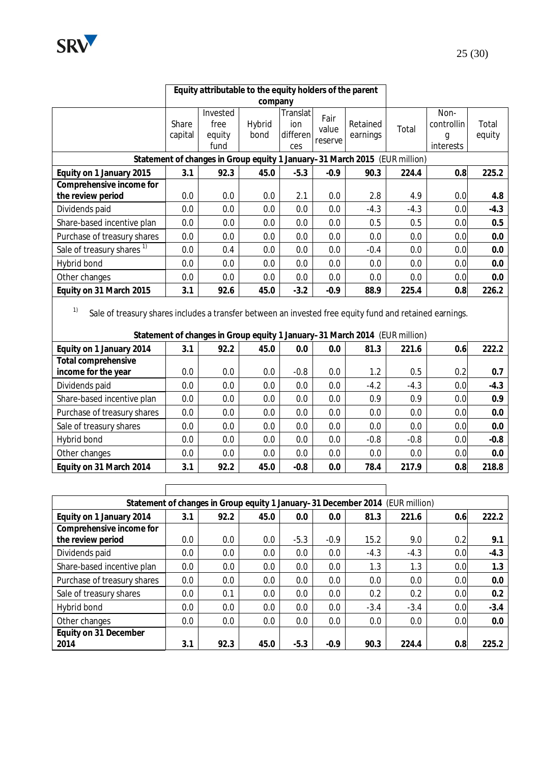

|          | Equity attributable to the equity holders of the parent |         |                 |       |          |       |                    |    |
|----------|---------------------------------------------------------|---------|-----------------|-------|----------|-------|--------------------|----|
|          |                                                         | company |                 |       |          |       |                    |    |
| Share    | Invested<br>free                                        | Hybrid  | Translat<br>ion | Fair  | Retained |       | Non-<br>controllin | Тc |
| $\cdots$ | . .                                                     |         |                 | value |          | Total |                    |    |

|                                                                            | Share<br>capital | free<br>equity<br>fund | Hybrid<br>bond | ion<br>differenl<br>ces | .<br>value<br>reserve | Retained<br>earnings | Total  | controllin<br>g<br>interests | Total<br>equity |
|----------------------------------------------------------------------------|------------------|------------------------|----------------|-------------------------|-----------------------|----------------------|--------|------------------------------|-----------------|
| Statement of changes in Group equity 1 January-31 March 2015 (EUR million) |                  |                        |                |                         |                       |                      |        |                              |                 |
| Equity on 1 January 2015                                                   | 3.1              | 92.3                   | 45.0           | $-5.3$                  | $-0.9$                | 90.3                 | 224.4  | 0.8                          | 225.2           |
| Comprehensive income for<br>the review period                              | 0.0              | 0.0                    | 0.0            | 2.1                     | 0.0                   | 2.8                  | 4.9    | 0.0                          | 4.8             |
| Dividends paid                                                             | 0.0              | 0.0                    | 0.0            | 0.0                     | 0.0                   | $-4.3$               | $-4.3$ | 0.0                          | $-4.3$          |
| Share-based incentive plan                                                 | 0.0              | 0.0                    | 0.0            | 0.0                     | 0.0                   | 0.5                  | 0.5    | 0.0                          | 0.5             |
| Purchase of treasury shares                                                | 0.0              | 0.0                    | 0.0            | 0.0                     | 0.0                   | 0.0                  | 0.0    | 0.0                          | 0.0             |
| Sale of treasury shares <sup>1)</sup>                                      | 0.0              | 0.4                    | 0.0            | 0.0                     | 0.0                   | $-0.4$               | 0.0    | 0.0                          | 0.0             |
| Hybrid bond                                                                | 0.0              | 0.0                    | 0.0            | 0.0                     | 0.0                   | 0.0                  | 0.0    | 0.0                          | 0.0             |
| Other changes                                                              | 0.0              | 0.0                    | 0.0            | 0.0                     | 0.0                   | 0.0                  | 0.0    | 0.0                          | 0.0             |
| Equity on 31 March 2015                                                    | 3.1              | 92.6                   | 45.0           | $-3.2$                  | $-0.9$                | 88.9                 | 225.4  | 0.8                          | 226.2           |

 $\mathbf{r}$ 

 $1)$  Sale of treasury shares includes a transfer between an invested free equity fund and retained earnings.

**Statement of changes in Group equity 1 January–31 March 2014** (EUR million)

| Equity on 1 January 2014    | 3.1     | 92.2 | 45.0 | 0.0    | 0.0 | 81.3   | 221.6  | 0.6 | 222.2  |
|-----------------------------|---------|------|------|--------|-----|--------|--------|-----|--------|
| Total comprehensive         |         |      |      |        |     |        |        |     |        |
| income for the year         | $0.0\,$ | 0.0  | 0.0  | $-0.8$ | 0.0 | 1.2    | 0.5    | 0.2 | 0.7    |
| Dividends paid              | $0.0\,$ | 0.0  | 0.0  | 0.0    | 0.0 | $-4.2$ | $-4.3$ | 0.0 | $-4.3$ |
| Share-based incentive plan  | 0.0     | 0.0  | 0.0  | 0.0    | 0.0 | 0.9    | 0.9    | 0.0 | 0.9    |
| Purchase of treasury shares | $0.0\,$ | 0.0  | 0.0  | 0.0    | 0.0 | 0.0    | 0.0    | 0.0 | 0.0    |
| Sale of treasury shares     | 0.0     | 0.0  | 0.0  | 0.0    | 0.0 | 0.0    | 0.0    | 0.0 | 0.0    |
| Hybrid bond                 | $0.0\,$ | 0.0  | 0.0  | 0.0    | 0.0 | $-0.8$ | $-0.8$ | 0.0 | $-0.8$ |
| Other changes               | 0.0     | 0.0  | 0.0  | 0.0    | 0.0 | 0.0    | 0.0    | 0.0 | 0.0    |
| Equity on 31 March 2014     | 3.1     | 92.2 | 45.0 | $-0.8$ | 0.0 | 78.4   | 217.9  | 0.8 | 218.8  |

| Statement of changes in Group equity 1 January-31 December 2014 (EUR million) |         |      |      |        |        |        |        |      |        |
|-------------------------------------------------------------------------------|---------|------|------|--------|--------|--------|--------|------|--------|
| Equity on 1 January 2014                                                      | 3.1     | 92.2 | 45.0 | 0.0    | 0.0    | 81.3   | 221.6  | 0.6  | 222.2  |
| Comprehensive income for                                                      |         |      |      |        |        |        |        |      |        |
| the review period                                                             | $0.0\,$ | 0.0  | 0.0  | $-5.3$ | $-0.9$ | 15.2   | 9.0    | 0.2  | 9.1    |
| Dividends paid                                                                | 0.0     | 0.0  | 0.0  | 0.0    | 0.0    | $-4.3$ | $-4.3$ | 0.0  | $-4.3$ |
| Share-based incentive plan                                                    | 0.0     | 0.0  | 0.0  | 0.0    | 0.0    | 1.3    | 1.3    | 0.0  | 1.3    |
| Purchase of treasury shares                                                   | 0.0     | 0.0  | 0.0  | 0.0    | 0.0    | 0.0    | 0.0    | 0.0  | 0.0    |
| Sale of treasury shares                                                       | 0.0     | 0.1  | 0.0  | 0.0    | 0.0    | 0.2    | 0.2    | 0.01 | 0.2    |
| Hybrid bond                                                                   | 0.0     | 0.0  | 0.0  | 0.0    | 0.0    | $-3.4$ | $-3.4$ | 0.0  | $-3.4$ |
| Other changes                                                                 | 0.0     | 0.0  | 0.0  | 0.0    | 0.0    | 0.0    | 0.0    | 0.0  | 0.0    |
| Equity on 31 December                                                         |         |      |      |        |        |        |        |      |        |
| 2014                                                                          | 3.1     | 92.3 | 45.0 | $-5.3$ | $-0.9$ | 90.3   | 224.4  | 0.8  | 225.2  |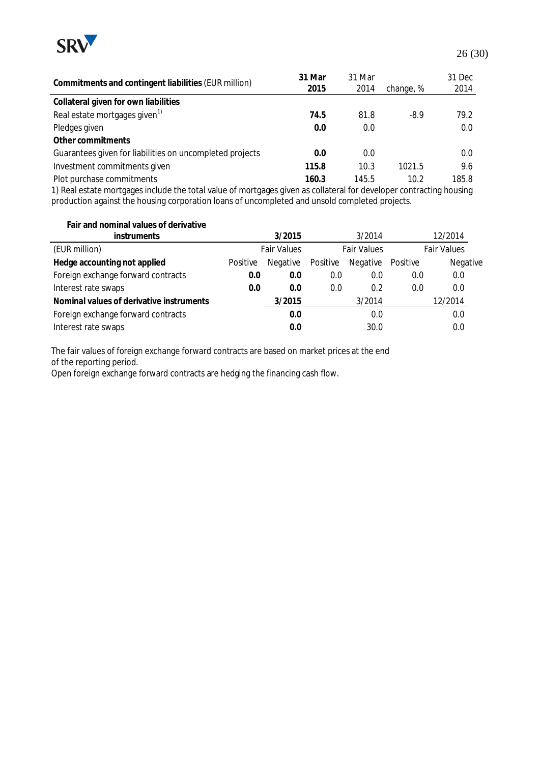

| Commitments and contingent liabilities (EUR million)     | 31 Mar<br>2015 | 31 Mar<br>2014 | change, % | 31 Dec<br>2014 |
|----------------------------------------------------------|----------------|----------------|-----------|----------------|
| Collateral given for own liabilities                     |                |                |           |                |
| Real estate mortgages given <sup>1)</sup>                | 74.5           | 81.8           | $-8.9$    | 79.2           |
| Pledges given                                            | 0.0            | 0.0            |           | 0.0            |
| Other commitments                                        |                |                |           |                |
| Guarantees given for liabilities on uncompleted projects | 0.0            | 0.0            |           | 0.0            |
| Investment commitments given                             | 115.8          | 10.3           | 1021.5    | 9.6            |
| Plot purchase commitments                                | 160.3          | 145.5          | 10.2      | 185.8          |

1) Real estate mortgages include the total value of mortgages given as collateral for developer contracting housing production against the housing corporation loans of uncompleted and unsold completed projects.

| Fair and nominal values of derivative<br><b>instruments</b> |          | 3/2015             |          | 3/2014             |          | 12/2014            |
|-------------------------------------------------------------|----------|--------------------|----------|--------------------|----------|--------------------|
| (EUR million)                                               |          | <b>Fair Values</b> |          | <b>Fair Values</b> |          | <b>Fair Values</b> |
| Hedge accounting not applied                                | Positive | Negative           | Positive | Negative           | Positive | Negative           |
| Foreign exchange forward contracts                          | 0.0      | 0.0                | 0.0      | 0.0                | 0.0      | 0.0                |
| Interest rate swaps                                         | 0.0      | 0.0                | 0.0      | 0.2                | 0.0      | 0.0                |
| Nominal values of derivative instruments                    |          | 3/2015             |          | 3/2014             |          | 12/2014            |
| Foreign exchange forward contracts                          |          | 0.0                |          | 0.0                |          | 0.0                |
| Interest rate swaps                                         |          | 0.0                |          | 30.0               |          | 0.0                |

The fair values of foreign exchange forward contracts are based on market prices at the end of the reporting period.

Open foreign exchange forward contracts are hedging the financing cash flow.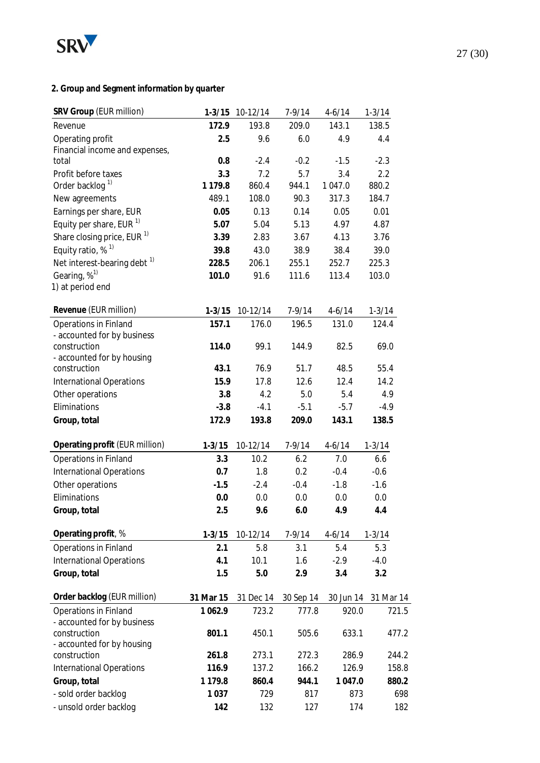

## **2. Group and Segment information by quarter**

| SRV Group (EUR million)                 | $1 - 3/15$  | 10-12/14  | $7 - 9/14$ | $4 - 6/14$ | $1 - 3/14$ |
|-----------------------------------------|-------------|-----------|------------|------------|------------|
| Revenue                                 | 172.9       | 193.8     | 209.0      | 143.1      | 138.5      |
| Operating profit                        | 2.5         | 9.6       | 6.0        | 4.9        | 4.4        |
| Financial income and expenses,          |             |           |            |            |            |
| total                                   | 0.8         | $-2.4$    | $-0.2$     | $-1.5$     | $-2.3$     |
| Profit before taxes                     | 3.3         | 7.2       | 5.7        | 3.4        | 2.2        |
| Order backlog <sup>1)</sup>             | 1 1 7 9 . 8 | 860.4     | 944.1      | 1 047.0    | 880.2      |
| New agreements                          | 489.1       | 108.0     | 90.3       | 317.3      | 184.7      |
| Earnings per share, EUR                 | 0.05        | 0.13      | 0.14       | 0.05       | 0.01       |
| Equity per share, EUR <sup>1)</sup>     | 5.07        | 5.04      | 5.13       | 4.97       | 4.87       |
| Share closing price, EUR <sup>1)</sup>  | 3.39        | 2.83      | 3.67       | 4.13       | 3.76       |
| Equity ratio, % <sup>1)</sup>           | 39.8        | 43.0      | 38.9       | 38.4       | 39.0       |
| Net interest-bearing debt <sup>1)</sup> | 228.5       | 206.1     | 255.1      | 252.7      | 225.3      |
| Gearing, % <sup>1)</sup>                | 101.0       | 91.6      | 111.6      | 113.4      | 103.0      |
| 1) at period end                        |             |           |            |            |            |
| Revenue (EUR million)                   | $1 - 3/15$  | 10-12/14  | $7 - 9/14$ | $4-6/14$   | $1 - 3/14$ |
| Operations in Finland                   | 157.1       | 176.0     | 196.5      | 131.0      | 124.4      |
| - accounted for by business             |             |           |            |            |            |
| construction                            | 114.0       | 99.1      | 144.9      | 82.5       | 69.0       |
| - accounted for by housing              |             |           |            |            |            |
| construction                            | 43.1        | 76.9      | 51.7       | 48.5       | 55.4       |
| <b>International Operations</b>         | 15.9        | 17.8      | 12.6       | 12.4       | 14.2       |
| Other operations                        | 3.8         | 4.2       | 5.0        | 5.4        | 4.9        |
| Eliminations                            | $-3.8$      | $-4.1$    | $-5.1$     | $-5.7$     | $-4.9$     |
| Group, total                            | 172.9       | 193.8     | 209.0      | 143.1      | 138.5      |
| Operating profit (EUR million)          | $1 - 3/15$  | 10-12/14  | $7-9/14$   | $4 - 6/14$ | $1 - 3/14$ |
| Operations in Finland                   | 3.3         | 10.2      | 6.2        | 7.0        | 6.6        |
| <b>International Operations</b>         | 0.7         | 1.8       | 0.2        | $-0.4$     | $-0.6$     |
| Other operations                        | $-1.5$      | $-2.4$    | $-0.4$     | $-1.8$     | $-1.6$     |
| Eliminations                            | 0.0         | 0.0       | 0.0        | 0.0        | 0.0        |
| Group, total                            | 2.5         | 9.6       | 6.0        | 4.9        | 4.4        |
|                                         |             |           |            |            |            |
| Operating profit, %                     | $1 - 3/15$  | 10-12/14  | $7 - 9/14$ | $4 - 6/14$ | $1 - 3/14$ |
| Operations in Finland                   | 2.1         | 5.8       | 3.1        | 5.4        | 5.3        |
| <b>International Operations</b>         | 4.1         | 10.1      | 1.6        | $-2.9$     | $-4.0$     |
| Group, total                            | 1.5         | 5.0       | 2.9        | 3.4        | 3.2        |
| Order backlog (EUR million)             | 31 Mar 15   | 31 Dec 14 | 30 Sep 14  | 30 Jun 14  | 31 Mar 14  |
| Operations in Finland                   | 1 0 6 2.9   | 723.2     | 777.8      | 920.0      | 721.5      |
| - accounted for by business             |             |           |            |            |            |
| construction                            | 801.1       | 450.1     | 505.6      | 633.1      | 477.2      |
| - accounted for by housing              |             |           |            |            |            |
| construction                            | 261.8       | 273.1     | 272.3      | 286.9      | 244.2      |
| <b>International Operations</b>         | 116.9       | 137.2     | 166.2      | 126.9      | 158.8      |
| Group, total                            | 1 1 7 9 . 8 | 860.4     | 944.1      | 1 047.0    | 880.2      |
| - sold order backlog                    | 1 0 3 7     | 729       | 817        | 873        | 698        |
| - unsold order backlog                  | 142         | 132       | 127        | 174        | 182        |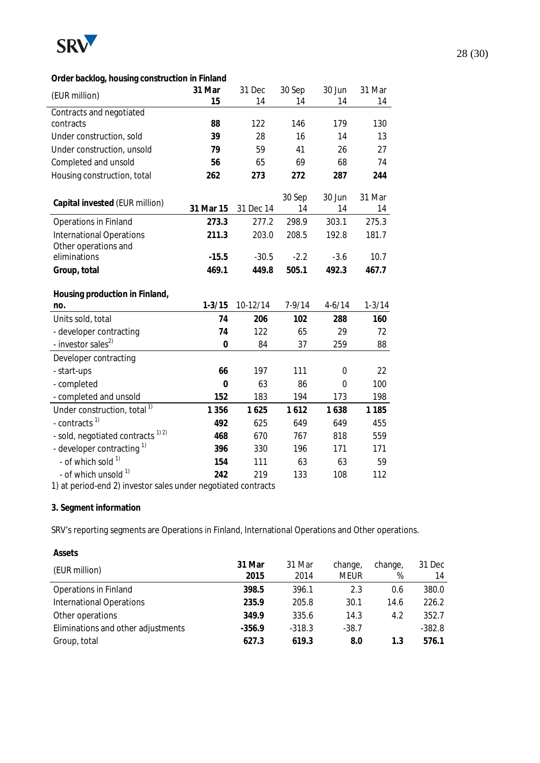

#### **Order backlog, housing construction in Finland**

| (EUR million)                                | 31 Mar         | 31 Dec    | 30 Sep   | 30 Jun     | 31 Mar     |
|----------------------------------------------|----------------|-----------|----------|------------|------------|
|                                              | 15             | 14        | 14       | 14         | 14         |
| Contracts and negotiated                     |                |           |          |            |            |
| contracts                                    | 88             | 122       | 146      | 179        | 130        |
| Under construction, sold                     | 39             | 28        | 16       | 14         | 13         |
| Under construction, unsold                   | 79             | 59        | 41       | 26         | 27         |
| Completed and unsold                         | 56             | 65        | 69       | 68         | 74         |
| Housing construction, total                  | 262            | 273       | 272      | 287        | 244        |
|                                              |                |           |          |            |            |
| Capital invested (EUR million)               |                |           | 30 Sep   | 30 Jun     | 31 Mar     |
|                                              | 31 Mar 15      | 31 Dec 14 | 14       | 14         | 14         |
| Operations in Finland                        | 273.3          | 277.2     | 298.9    | 303.1      | 275.3      |
| <b>International Operations</b>              | 211.3          | 203.0     | 208.5    | 192.8      | 181.7      |
| Other operations and<br>eliminations         | $-15.5$        | $-30.5$   | $-2.2$   | $-3.6$     | 10.7       |
|                                              | 469.1          | 449.8     | 505.1    | 492.3      | 467.7      |
| Group, total                                 |                |           |          |            |            |
| Housing production in Finland,               |                |           |          |            |            |
| no.                                          | $1 - 3/15$     | 10-12/14  | $7-9/14$ | $4 - 6/14$ | $1 - 3/14$ |
| Units sold, total                            | 74             | 206       | 102      | 288        | 160        |
| - developer contracting                      | 74             | 122       | 65       | 29         | 72         |
| - investor sales <sup>2)</sup>               | $\overline{0}$ | 84        | 37       | 259        | 88         |
| Developer contracting                        |                |           |          |            |            |
| - start-ups                                  | 66             | 197       | 111      | 0          | 22         |
| - completed                                  | $\overline{0}$ | 63        | 86       | $\Omega$   | 100        |
| - completed and unsold                       | 152            | 183       | 194      | 173        | 198        |
| Under construction, total <sup>1)</sup>      | 1 3 5 6        | 1625      | 1612     | 1638       | 1 1 8 5    |
| - contracts <sup>1)</sup>                    | 492            | 625       | 649      | 649        | 455        |
| - sold, negotiated contracts <sup>1)2)</sup> | 468            | 670       | 767      | 818        | 559        |
| - developer contracting <sup>1)</sup>        | 396            | 330       | 196      | 171        | 171        |
|                                              |                |           |          |            |            |
| - of which sold 1)                           | 154            | 111       | 63       | 63         | 59         |

1) at period-end 2) investor sales under negotiated contracts

#### **3. Segment information**

SRV's reporting segments are Operations in Finland, International Operations and Other operations.

| Assets                             |                |                |                        |              |              |
|------------------------------------|----------------|----------------|------------------------|--------------|--------------|
| (EUR million)                      | 31 Mar<br>2015 | 31 Mar<br>2014 | change,<br><b>MEUR</b> | change,<br>% | 31 Dec<br>14 |
| <b>Operations in Finland</b>       | 398.5          | 396.1          | 2.3                    | 0.6          | 380.0        |
| <b>International Operations</b>    | 235.9          | 205.8          | 30.1                   | 14.6         | 226.2        |
| Other operations                   | 349.9          | 335.6          | 14.3                   | 4.2          | 352.7        |
| Eliminations and other adjustments | $-356.9$       | $-318.3$       | $-38.7$                |              | $-382.8$     |
| Group, total                       | 627.3          | 619.3          | 8.0                    | 1.3          | 576.1        |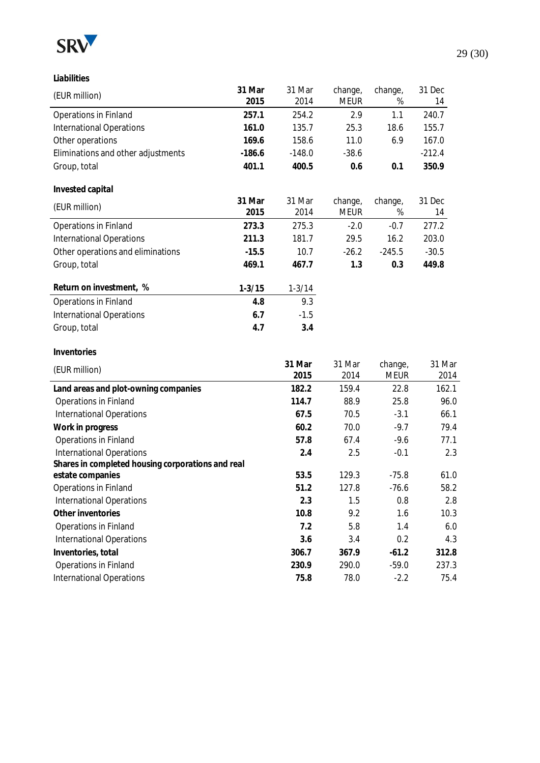

**Liabilities**

| (EUR million)                                     | 31 Mar<br>2015 | 31 Mar<br>2014 | change,<br><b>MEUR</b> | change,<br>% | 31 Dec<br>14 |
|---------------------------------------------------|----------------|----------------|------------------------|--------------|--------------|
| Operations in Finland                             | 257.1          | 254.2          | 2.9                    | 1.1          | 240.7        |
| <b>International Operations</b>                   | 161.0          | 135.7          | 25.3                   | 18.6         | 155.7        |
| Other operations                                  | 169.6          | 158.6          | 11.0                   | 6.9          | 167.0        |
| Eliminations and other adjustments                | $-186.6$       | $-148.0$       | $-38.6$                |              | $-212.4$     |
| Group, total                                      | 401.1          | 400.5          | 0.6                    | 0.1          | 350.9        |
|                                                   |                |                |                        |              |              |
| Invested capital                                  |                |                |                        |              |              |
| (EUR million)                                     | 31 Mar         | 31 Mar         | change,                | change,      | 31 Dec       |
|                                                   | 2015           | 2014           | <b>MEUR</b>            | $\%$         | 14           |
| <b>Operations in Finland</b>                      | 273.3          | 275.3          | $-2.0$                 | $-0.7$       | 277.2        |
| International Operations                          | 211.3          | 181.7          | 29.5                   | 16.2         | 203.0        |
| Other operations and eliminations                 | $-15.5$        | 10.7           | $-26.2$                | $-245.5$     | $-30.5$      |
| Group, total                                      | 469.1          | 467.7          | 1.3                    | 0.3          | 449.8        |
| Return on investment, %                           | $1 - 3/15$     | $1 - 3/14$     |                        |              |              |
| Operations in Finland                             | 4.8            | 9.3            |                        |              |              |
| <b>International Operations</b>                   | 6.7            | $-1.5$         |                        |              |              |
| Group, total                                      | 4.7            | 3.4            |                        |              |              |
|                                                   |                |                |                        |              |              |
| Inventories                                       |                |                |                        |              |              |
| (EUR million)                                     |                | 31 Mar         | 31 Mar                 | change,      | 31 Mar       |
|                                                   |                | 2015           | 2014                   | <b>MEUR</b>  | 2014         |
| Land areas and plot-owning companies              |                | 182.2          | 159.4                  | 22.8         | 162.1        |
| Operations in Finland                             |                | 114.7          | 88.9                   | 25.8         | 96.0         |
| <b>International Operations</b>                   |                | 67.5           | 70.5                   | $-3.1$       | 66.1         |
| Work in progress                                  |                | 60.2           | 70.0                   | $-9.7$       | 79.4         |
| Operations in Finland                             |                | 57.8           | 67.4                   | $-9.6$       | 77.1         |
| <b>International Operations</b>                   |                | 2.4            | 2.5                    | $-0.1$       | 2.3          |
| Shares in completed housing corporations and real |                |                |                        |              |              |
| estate companies                                  |                | 53.5           | 129.3                  | $-75.8$      | 61.0         |
| <b>Operations in Finland</b>                      |                | 51.2           | 127.8                  | $-76.6$      | 58.2         |
| <b>International Operations</b>                   |                | 2.3            | 1.5                    | 0.8          | 2.8          |
| Other inventories                                 |                | 10.8           | 9.2                    | 1.6          | 10.3         |
| Operations in Finland                             |                | 7.2            | 5.8                    | 1.4          | 6.0          |
| <b>International Operations</b>                   |                | 3.6            | 3.4                    | 0.2          | 4.3          |
| Inventories, total                                |                | 306.7          | 367.9                  | $-61.2$      | 312.8        |
| Operations in Finland                             |                | 230.9          | 290.0                  | $-59.0$      | 237.3        |
| <b>International Operations</b>                   |                | 75.8           | 78.0                   | $-2.2$       | 75.4         |